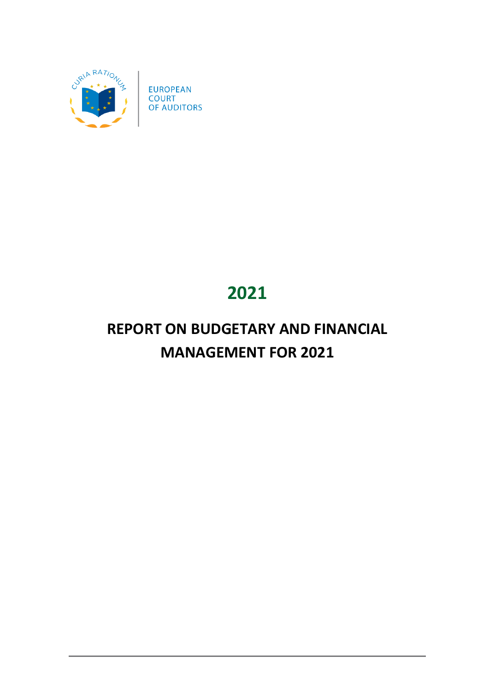

# **2021**

# **REPORT ON BUDGETARY AND FINANCIAL MANAGEMENT FOR 2021**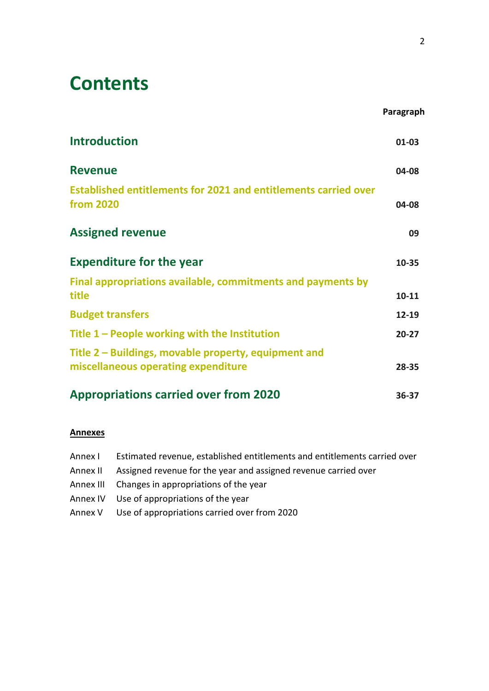# **Contents**

|                                                                                            | Paragraph |
|--------------------------------------------------------------------------------------------|-----------|
| <b>Introduction</b>                                                                        | $01 - 03$ |
| <b>Revenue</b>                                                                             | 04-08     |
| <b>Established entitlements for 2021 and entitlements carried over</b><br><b>from 2020</b> | 04-08     |
| <b>Assigned revenue</b>                                                                    | 09        |
| <b>Expenditure for the year</b>                                                            | 10-35     |
| Final appropriations available, commitments and payments by                                |           |
| title                                                                                      | $10 - 11$ |
| <b>Budget transfers</b>                                                                    | 12-19     |
| Title $1$ – People working with the Institution                                            | $20 - 27$ |
| Title 2 – Buildings, movable property, equipment and                                       |           |
| miscellaneous operating expenditure                                                        | 28-35     |
| <b>Appropriations carried over from 2020</b>                                               | 36-37     |

#### **Annexes**

| Annex I | Estimated revenue, established entitlements and entitlements carried over |
|---------|---------------------------------------------------------------------------|
|         | Annex II Assigned revenue for the year and assigned revenue carried over  |
|         | Annex III Changes in appropriations of the year                           |
|         | Annex IV Use of appropriations of the year                                |
|         | Annex V Use of appropriations carried over from 2020                      |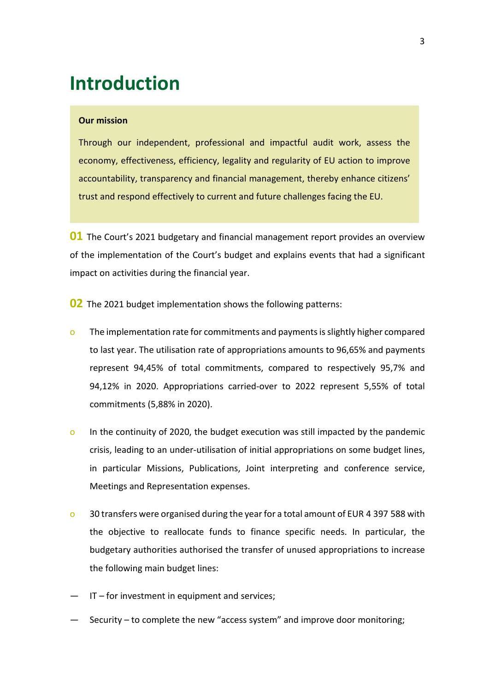## <span id="page-2-0"></span>**Introduction**

#### **Our mission**

Through our independent, professional and impactful audit work, assess the economy, effectiveness, efficiency, legality and regularity of EU action to improve accountability, transparency and financial management, thereby enhance citizens' trust and respond effectively to current and future challenges facing the EU.

**01** The Court's 2021 budgetary and financial management report provides an overview of the implementation of the Court's budget and explains events that had a significant impact on activities during the financial year.

**02** The 2021 budget implementation shows the following patterns:

- o The implementation rate for commitments and payments is slightly higher compared to last year. The utilisation rate of appropriations amounts to 96,65% and payments represent 94,45% of total commitments, compared to respectively 95,7% and 94,12% in 2020. Appropriations carried-over to 2022 represent 5,55% of total commitments (5,88% in 2020).
- o In the continuity of 2020, the budget execution was still impacted by the pandemic crisis, leading to an under-utilisation of initial appropriations on some budget lines, in particular Missions, Publications, Joint interpreting and conference service, Meetings and Representation expenses.
- o 30 transfers were organised during the year for a total amount of EUR 4 397 588 with the objective to reallocate funds to finance specific needs. In particular, the budgetary authorities authorised the transfer of unused appropriations to increase the following main budget lines:
- IT for investment in equipment and services;
- Security to complete the new "access system" and improve door monitoring;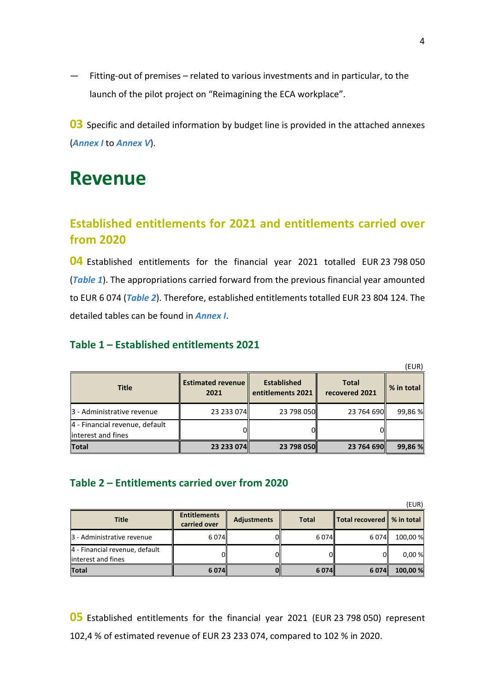— Fitting-out of premises – related to various investments and in particular, to the launch of the pilot project on "Reimagining the ECA workplace".

**03** Specific and detailed information by budget line is provided in the attached annexes (*Annex I* to *Annex V*).

## <span id="page-3-0"></span>**Revenue**

## <span id="page-3-1"></span>**Established entitlements for 2021 and entitlements carried over from 2020**

**04** Established entitlements for the financial year 2021 totalled EUR 23 798 050 (*Table 1*). The appropriations carried forward from the previous financial year amounted to EUR 6 074 (*Table 2*). Therefore, established entitlements totalled EUR 23 804 124. The detailed tables can be found in *Annex I*.

### **Table 1 – Established entitlements 2021**

|                                                       |                                  |                                         |                                | (EUR)      |
|-------------------------------------------------------|----------------------------------|-----------------------------------------|--------------------------------|------------|
| <b>Title</b>                                          | <b>Estimated revenue</b><br>2021 | <b>Established</b><br>entitlements 2021 | <b>Total</b><br>recovered 2021 | % in total |
| 3 - Administrative revenue                            | 23 233 074                       | 23 798 050                              | 23 764 690                     | 99,86 %    |
| 4 - Financial revenue, default<br>linterest and fines |                                  |                                         |                                |            |
| <b>Total</b>                                          | 23 233 074                       | 23 798 050                              | 23 764 690                     | 99,86 %    |

### **Table 2 – Entitlements carried over from 2020**

|                                                      |                                     |                    |              |                               | (EUR)    |
|------------------------------------------------------|-------------------------------------|--------------------|--------------|-------------------------------|----------|
| <b>Title</b>                                         | <b>Entitlements</b><br>carried over | <b>Adjustments</b> | <b>Total</b> | Total recovered    % in total |          |
| 3 - Administrative revenue                           | 6074                                |                    | 6074         | 6074                          | 100,00 % |
| 4 - Financial revenue, default<br>interest and fines | nı                                  |                    |              |                               | 0.00%    |
| <b>Total</b>                                         | 6074                                |                    | 6074         | 6 074 l                       | 100,00 % |

**05** Established entitlements for the financial year 2021 (EUR 23 798 050) represent 102,4 % of estimated revenue of EUR 23 233 074, compared to 102 % in 2020.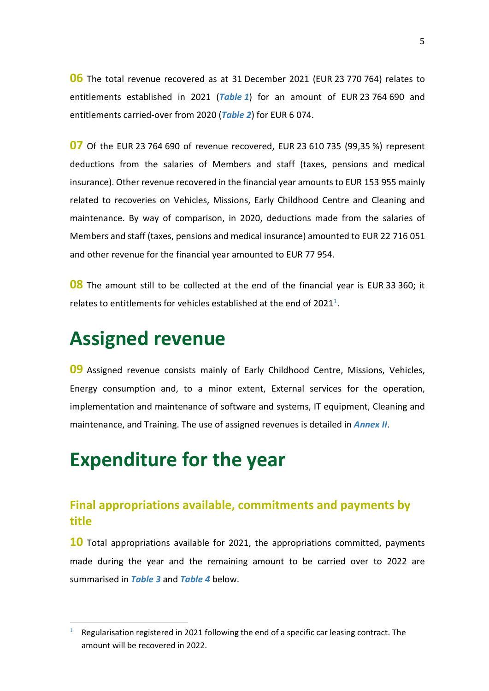**06** The total revenue recovered as at 31 December 2021 (EUR 23 770 764) relates to entitlements established in 2021 (*Table 1*) for an amount of EUR 23 764 690 and entitlements carried-over from 2020 (*Table 2*) for EUR 6 074.

**07** Of the EUR 23 764 690 of revenue recovered, EUR 23 610 735 (99,35 %) represent deductions from the salaries of Members and staff (taxes, pensions and medical insurance). Other revenue recovered in the financial year amounts to EUR 153 955 mainly related to recoveries on Vehicles, Missions, Early Childhood Centre and Cleaning and maintenance. By way of comparison, in 2020, deductions made from the salaries of Members and staff (taxes, pensions and medical insurance) amounted to EUR 22 716 051 and other revenue for the financial year amounted to EUR 77 954.

**08** The amount still to be collected at the end of the financial year is EUR 33 360; it relates to entitlements for vehicles established at the end of  $2021<sup>1</sup>$ .

## <span id="page-4-0"></span>**Assigned revenue**

**09** Assigned revenue consists mainly of Early Childhood Centre, Missions, Vehicles, Energy consumption and, to a minor extent, External services for the operation, implementation and maintenance of software and systems, IT equipment, Cleaning and maintenance, and Training. The use of assigned revenues is detailed in *Annex II*.

# <span id="page-4-1"></span>**Expenditure for the year**

### <span id="page-4-2"></span>**Final appropriations available, commitments and payments by title**

**10** Total appropriations available for 2021, the appropriations committed, payments made during the year and the remaining amount to be carried over to 2022 are summarised in *Table 3* and *Table 4* below.

<span id="page-4-3"></span><sup>1</sup> Regularisation registered in 2021 following the end of a specific car leasing contract. The amount will be recovered in 2022.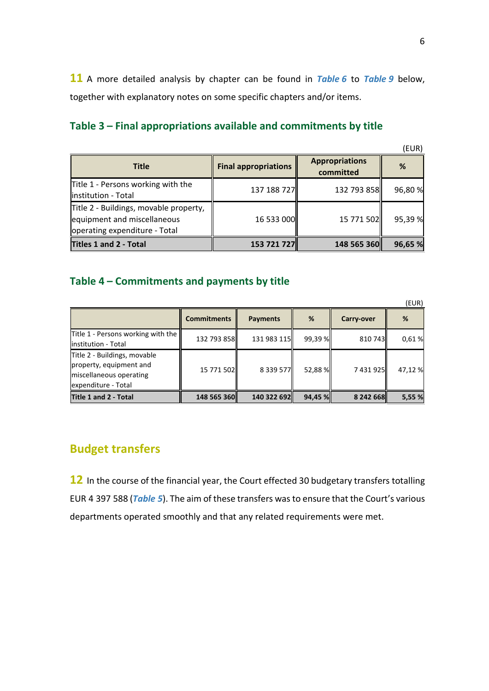**11** A more detailed analysis by chapter can be found in *Table 6* to *Table 9* below, together with explanatory notes on some specific chapters and/or items.

### **Table 3 – Final appropriations available and commitments by title**

| <b>Title</b>                                                                                           | <b>Final appropriations</b> | <b>Appropriations</b><br>committed | %       |
|--------------------------------------------------------------------------------------------------------|-----------------------------|------------------------------------|---------|
| Title 1 - Persons working with the<br>linstitution - Total                                             | 137 188 727                 | 132 793 858                        | 96,80 % |
| Title 2 - Buildings, movable property,<br>equipment and miscellaneous<br>operating expenditure - Total | 16 533 000                  | 15 771 502                         | 95,39 % |
| <b>Titles 1 and 2 - Total</b>                                                                          | 153 721 727                 | 148 565 360                        | 96,65 % |

#### **Table 4 – Commitments and payments by title**

|                                                                                                           |                    |                 |         |            | (EUR)   |
|-----------------------------------------------------------------------------------------------------------|--------------------|-----------------|---------|------------|---------|
|                                                                                                           | <b>Commitments</b> | <b>Payments</b> | %       | Carry-over | %       |
| Title 1 - Persons working with the<br>linstitution - Total                                                | 132 793 858        | 131 983 115     | 99,39 % | 810 743    | 0,61%   |
| Title 2 - Buildings, movable<br>property, equipment and<br>miscellaneous operating<br>expenditure - Total | 15 771 502         | 8 3 3 5 7 7     | 52,88 % | 7 431 925  | 47,12 % |
| Title 1 and 2 - Total                                                                                     | 148 565 360        | 140 322 692     | 94,45 % | 8 242 668  | 5,55 %  |

### <span id="page-5-0"></span>**Budget transfers**

**12** In the course of the financial year, the Court effected 30 budgetary transfers totalling EUR 4 397 588 (*Table 5*). The aim of these transfers was to ensure that the Court's various departments operated smoothly and that any related requirements were met.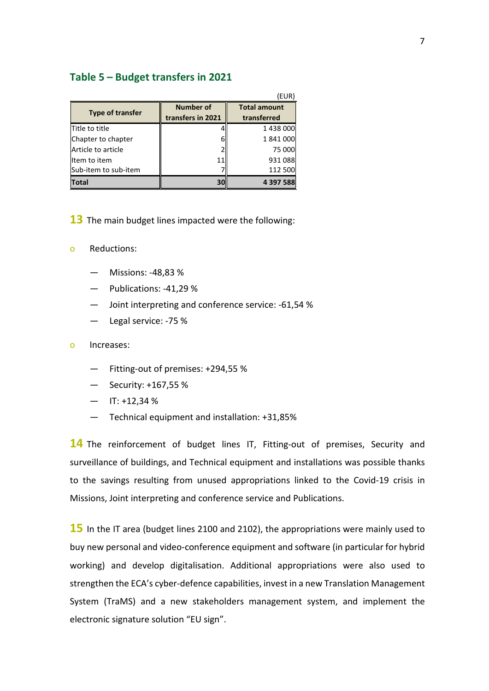#### **Table 5 – Budget transfers in 2021**

|                         |                                       | EUR)                               |
|-------------------------|---------------------------------------|------------------------------------|
| <b>Type of transfer</b> | <b>Number of</b><br>transfers in 2021 | <b>Total amount</b><br>transferred |
| Title to title          |                                       | 1438000                            |
| Chapter to chapter      | h                                     | 1841000                            |
| Article to article      |                                       | 75 000                             |
| Item to item            |                                       | 931 088                            |
| Sub-item to sub-item    |                                       | 112 500                            |
| <b>Total</b>            | 30                                    | 4 397 588                          |

- **13** The main budget lines impacted were the following:
- o Reductions:
	- Missions: -48,83 %
	- Publications: -41,29 %
	- Joint interpreting and conference service: -61,54 %
	- Legal service: -75 %
- o Increases:
	- Fitting-out of premises: +294,55 %
	- Security: +167,55 %
	- $-$  IT: +12,34 %
	- Technical equipment and installation: +31,85%

**14** The reinforcement of budget lines IT, Fitting-out of premises, Security and surveillance of buildings, and Technical equipment and installations was possible thanks to the savings resulting from unused appropriations linked to the Covid-19 crisis in Missions, Joint interpreting and conference service and Publications.

**15** In the IT area (budget lines 2100 and 2102), the appropriations were mainly used to buy new personal and video-conference equipment and software (in particular for hybrid working) and develop digitalisation. Additional appropriations were also used to strengthen the ECA's cyber-defence capabilities, invest in a new Translation Management System (TraMS) and a new stakeholders management system, and implement the electronic signature solution "EU sign".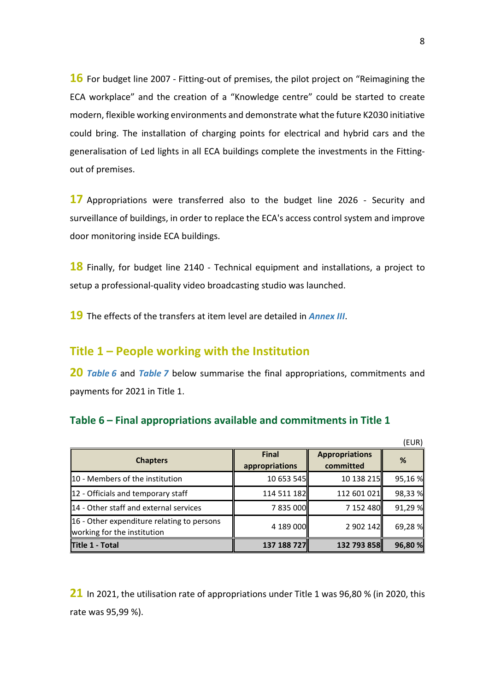**16** For budget line 2007 - Fitting-out of premises, the pilot project on "Reimagining the ECA workplace" and the creation of a "Knowledge centre" could be started to create modern, flexible working environments and demonstrate what the future K2030 initiative could bring. The installation of charging points for electrical and hybrid cars and the generalisation of Led lights in all ECA buildings complete the investments in the Fittingout of premises.

**17** Appropriations were transferred also to the budget line 2026 - Security and surveillance of buildings, in order to replace the ECA's access control system and improve door monitoring inside ECA buildings.

**18** Finally, for budget line 2140 - Technical equipment and installations, a project to setup a professional-quality video broadcasting studio was launched.

<span id="page-7-0"></span>**19** The effects of the transfers at item level are detailed in *Annex III*.

### **Title 1 – People working with the Institution**

**20** *Table 6* and *Table 7* below summarise the final appropriations, commitments and payments for 2021 in Title 1.

#### **Table 6 – Final appropriations available and commitments in Title 1**

|                                                                                |                                |                                    | (EUR)   |
|--------------------------------------------------------------------------------|--------------------------------|------------------------------------|---------|
| <b>Chapters</b>                                                                | <b>Final</b><br>appropriations | <b>Appropriations</b><br>committed | %       |
| 10 - Members of the institution                                                | 10 653 545                     | 10 138 215                         | 95,16 % |
| $\ $ 12 - Officials and temporary staff                                        | 114 511 182                    | 112 601 021                        | 98,33%  |
| 14 - Other staff and external services                                         | 7835000                        | 7 152 480                          | 91,29%  |
| $\ $ 16 - Other expenditure relating to persons<br>working for the institution | 4 189 000                      | 2 902 142                          | 69,28%  |
| Title 1 - Total                                                                | 137 188 727                    | 132 793 858                        | 96,80 % |

**21** In 2021, the utilisation rate of appropriations under Title 1 was 96,80 % (in 2020, this rate was 95,99 %).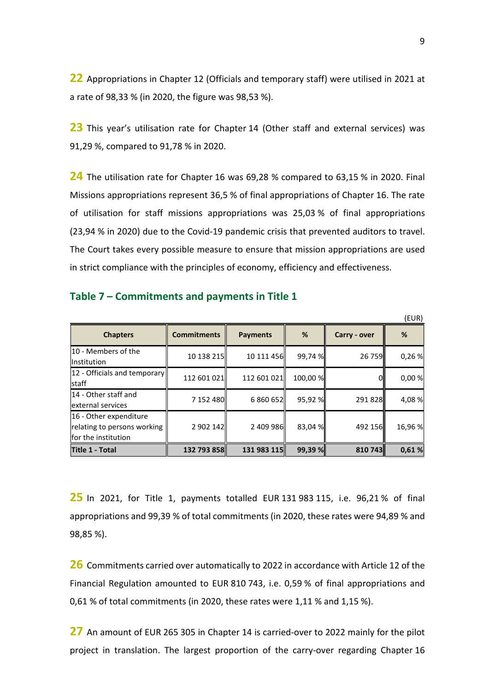**22** Appropriations in Chapter 12 (Officials and temporary staff) were utilised in 2021 at a rate of 98,33 % (in 2020, the figure was 98,53 %).

**23** This year's utilisation rate for Chapter 14 (Other staff and external services) was 91,29 %, compared to 91,78 % in 2020.

**24** The utilisation rate for Chapter 16 was 69,28 % compared to 63,15 % in 2020. Final Missions appropriations represent 36,5 % of final appropriations of Chapter 16. The rate of utilisation for staff missions appropriations was 25,03 % of final appropriations (23,94 % in 2020) due to the Covid-19 pandemic crisis that prevented auditors to travel. The Court takes every possible measure to ensure that mission appropriations are used in strict compliance with the principles of economy, efficiency and effectiveness.

|                                                                              |                    |                 |          |              | (EUR)   |
|------------------------------------------------------------------------------|--------------------|-----------------|----------|--------------|---------|
| <b>Chapters</b>                                                              | <b>Commitments</b> | <b>Payments</b> | %        | Carry - over | %       |
| <b>10 - Members of the</b><br><b>Institution</b>                             | 10 138 215         | 10 111 456      | 99,74 %  | 26 759       | 0,26%   |
| 12 - Officials and temporary<br><b>Istaff</b>                                | 112 601 021        | 112 601 021     | 100,00 % |              | 0,00 %  |
| 14 - Other staff and<br>external services                                    | 7 152 480          | 6 860 652       | 95,92 %  | 291 828      | 4,08%   |
| 16 - Other expenditure<br>relating to persons working<br>for the institution | 2 902 142          | 2 409 986       | 83,04 %  | 492 156      | 16,96 % |
| <b>Title 1 - Total</b>                                                       | 132 793 858        | 131 983 115     | 99,39 %  | 810 743      | 0,61%   |

#### **Table 7 – Commitments and payments in Title 1**

**25** In 2021, for Title 1, payments totalled EUR 131 983 115, i.e. 96,21 % of final appropriations and 99,39 % of total commitments (in 2020, these rates were 94,89 % and 98,85 %).

**26** Commitments carried over automatically to 2022 in accordance with Article 12 of the Financial Regulation amounted to EUR 810 743, i.e. 0,59 % of final appropriations and 0,61 % of total commitments (in 2020, these rates were 1,11 % and 1,15 %).

**27** An amount of EUR 265 305 in Chapter 14 is carried-over to 2022 mainly for the pilot project in translation. The largest proportion of the carry-over regarding Chapter 16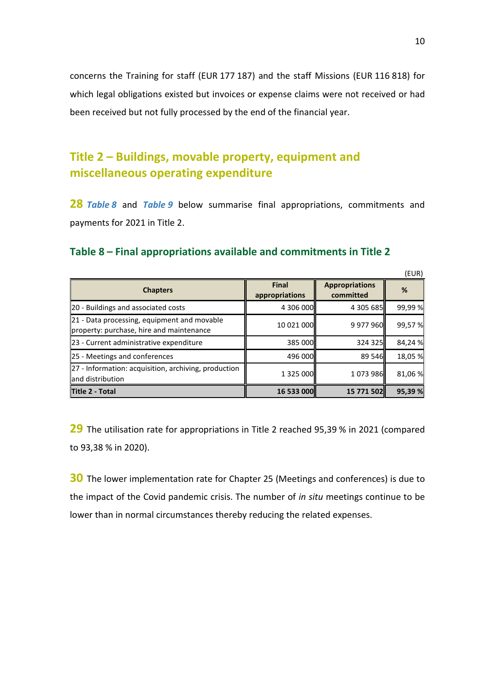concerns the Training for staff (EUR 177 187) and the staff Missions (EUR 116 818) for which legal obligations existed but invoices or expense claims were not received or had been received but not fully processed by the end of the financial year.

## <span id="page-9-0"></span>**Title 2 – Buildings, movable property, equipment and miscellaneous operating expenditure**

**28** *Table 8* and *Table 9* below summarise final appropriations, commitments and payments for 2021 in Title 2.

|  | Table 8 – Final appropriations available and commitments in Title 2 |  |  |  |
|--|---------------------------------------------------------------------|--|--|--|
|--|---------------------------------------------------------------------|--|--|--|

|                                                                                         |                                |                                    | (EUR)   |
|-----------------------------------------------------------------------------------------|--------------------------------|------------------------------------|---------|
| <b>Chapters</b>                                                                         | <b>Final</b><br>appropriations | <b>Appropriations</b><br>committed | %       |
| 20 - Buildings and associated costs                                                     | 4 306 000                      | 4 305 685                          | 99,99 % |
| 21 - Data processing, equipment and movable<br>property: purchase, hire and maintenance | 10 021 000                     | 9 977 960                          | 99,57%  |
| 23 - Current administrative expenditure                                                 | 385 000                        | 324 325                            | 84,24%  |
| 25 - Meetings and conferences                                                           | 496 000                        | 89 546                             | 18,05 % |
| 27 - Information: acquisition, archiving, production<br>and distribution                | 1 3 2 5 0 0 0                  | 1073986                            | 81,06%  |
| Title 2 - Total                                                                         | <b>16 533 000</b>              | 15 771 502                         | 95,39 % |

**29** The utilisation rate for appropriations in Title 2 reached 95,39 % in 2021 (compared to 93,38 % in 2020).

**30** The lower implementation rate for Chapter 25 (Meetings and conferences) is due to the impact of the Covid pandemic crisis. The number of *in situ* meetings continue to be lower than in normal circumstances thereby reducing the related expenses.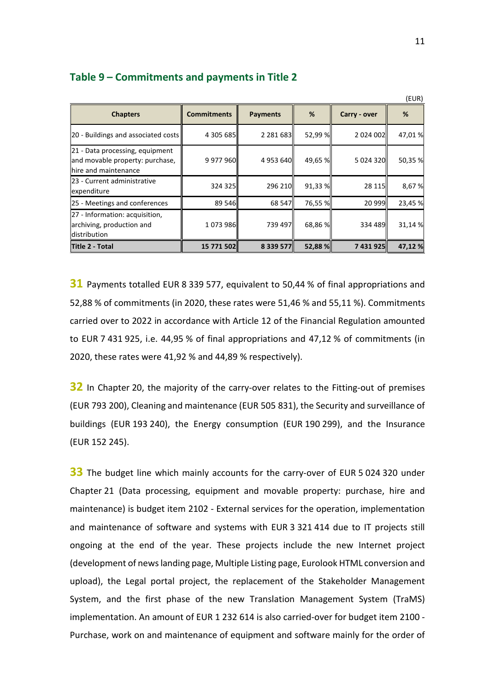| <b>Chapters</b>                                                                            | <b>Commitments</b> | <b>Payments</b> | %         | Carry - over  | %       |  |  |
|--------------------------------------------------------------------------------------------|--------------------|-----------------|-----------|---------------|---------|--|--|
| 20 - Buildings and associated costs                                                        | 4 305 685          | 2 2 8 1 6 8 3   | 52,99 %   | 2 0 2 4 0 0 2 | 47,01%  |  |  |
| 21 - Data processing, equipment<br>and movable property: purchase,<br>hire and maintenance | 9 977 960          | 4953640         | 49,65 %   | 5 024 320     | 50,35 % |  |  |
| 23 - Current administrative<br>expenditure                                                 | 324 325            | 296 210         | 91,33 %   | 28 115        | 8,67%   |  |  |
| 25 - Meetings and conferences                                                              | 89 546             | 68 547          | 76,55 %   | 20 999        | 23,45 % |  |  |
| 27 - Information: acquisition,<br>archiving, production and<br>distribution                | 1073986            | 739 497         | 68,86 %II | 334 489       | 31,14 % |  |  |
| Title 2 - Total                                                                            | 15 771 502         | 8 339 577       | 52,88 %   | 7 431 925     | 47,12 % |  |  |

#### **Table 9 – Commitments and payments in Title 2**

**31** Payments totalled EUR 8 339 577, equivalent to 50,44 % of final appropriations and 52,88 % of commitments (in 2020, these rates were 51,46 % and 55,11 %). Commitments carried over to 2022 in accordance with Article 12 of the Financial Regulation amounted to EUR 7 431 925, i.e. 44,95 % of final appropriations and 47,12 % of commitments (in 2020, these rates were 41,92 % and 44,89 % respectively).

**32** In Chapter 20, the majority of the carry-over relates to the Fitting-out of premises (EUR 793 200), Cleaning and maintenance (EUR 505 831), the Security and surveillance of buildings (EUR 193 240), the Energy consumption (EUR 190 299), and the Insurance (EUR 152 245).

**33** The budget line which mainly accounts for the carry-over of EUR 5 024 320 under Chapter 21 (Data processing, equipment and movable property: purchase, hire and maintenance) is budget item 2102 - External services for the operation, implementation and maintenance of software and systems with EUR 3 321 414 due to IT projects still ongoing at the end of the year. These projects include the new Internet project (development of news landing page, Multiple Listing page, Eurolook HTML conversion and upload), the Legal portal project, the replacement of the Stakeholder Management System, and the first phase of the new Translation Management System (TraMS) implementation. An amount of EUR 1 232 614 is also carried-over for budget item 2100 - Purchase, work on and maintenance of equipment and software mainly for the order of

 $(2)$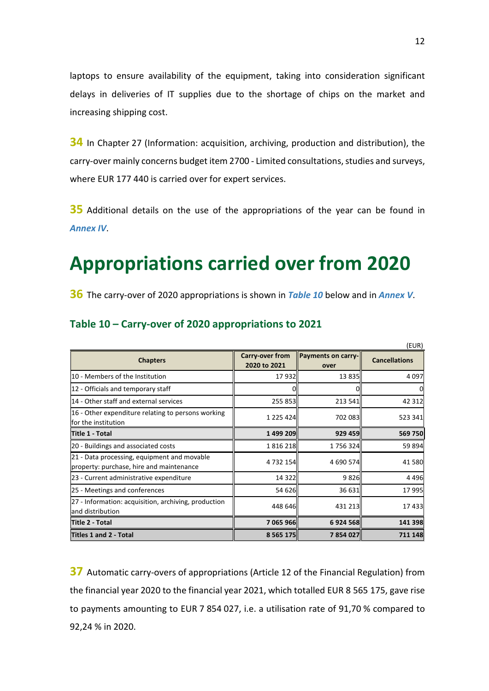laptops to ensure availability of the equipment, taking into consideration significant delays in deliveries of IT supplies due to the shortage of chips on the market and increasing shipping cost.

**34** In Chapter 27 (Information: acquisition, archiving, production and distribution), the carry-over mainly concerns budget item 2700 - Limited consultations, studies and surveys, where EUR 177 440 is carried over for expert services.

**35** Additional details on the use of the appropriations of the year can be found in *Annex IV*.

# <span id="page-11-0"></span>**Appropriations carried over from 2020**

**36** The carry-over of 2020 appropriations is shown in *Table 10* below and in *Annex V*.

|                                                                                         |                                 |                            | (EUR)                |
|-----------------------------------------------------------------------------------------|---------------------------------|----------------------------|----------------------|
| <b>Chapters</b>                                                                         | Carry-over from<br>2020 to 2021 | Payments on carry-<br>over | <b>Cancellations</b> |
| 10 - Members of the Institution                                                         | 17 932                          | 13 8 35                    | 4097                 |
| 12 - Officials and temporary staff                                                      | $\Omega$                        | 0                          | 0                    |
| 14 - Other staff and external services                                                  | 255 853                         | 213 541                    | 42 3 12              |
| $\ 16 -$ Other expenditure relating to persons working<br>for the institution           | 1 225 424                       | 702 083                    | 523 341              |
| Title 1 - Total                                                                         | 1499 209                        | 929 459                    | 569 750              |
| 20 - Buildings and associated costs                                                     | 1816218                         | 1756324                    | 59 894               |
| 21 - Data processing, equipment and movable<br>property: purchase, hire and maintenance | 4 7 3 2 1 5 4                   | 4 690 574                  | 41 580               |
| 23 - Current administrative expenditure                                                 | 14 3 2 2                        | 9826                       | 4496                 |
| 25 - Meetings and conferences                                                           | 54 626                          | 36 631                     | 17 995               |
| 27 - Information: acquisition, archiving, production<br>and distribution                | 448 646                         | 431 213                    | 17433                |
| Title 2 - Total                                                                         | 7 065 966                       | 6924568                    | 141 398              |
| Titles 1 and 2 - Total                                                                  | 8 5 6 5 1 7 5 $\parallel$       | 7854027                    | 711 148              |

#### **Table 10 – Carry-over of 2020 appropriations to 2021**

**37** Automatic carry-overs of appropriations (Article 12 of the Financial Regulation) from the financial year 2020 to the financial year 2021, which totalled EUR 8 565 175, gave rise to payments amounting to EUR 7 854 027, i.e. a utilisation rate of 91,70 % compared to 92,24 % in 2020.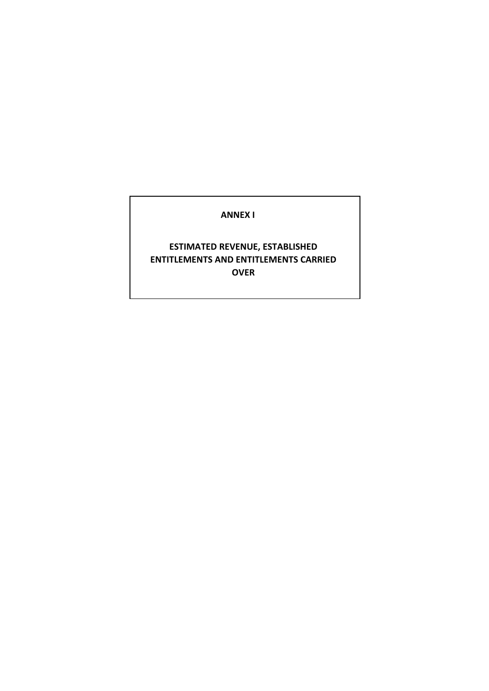#### **ANNEX I**

### **ESTIMATED REVENUE, ESTABLISHED ENTITLEMENTS AND ENTITLEMENTS CARRIED OVER**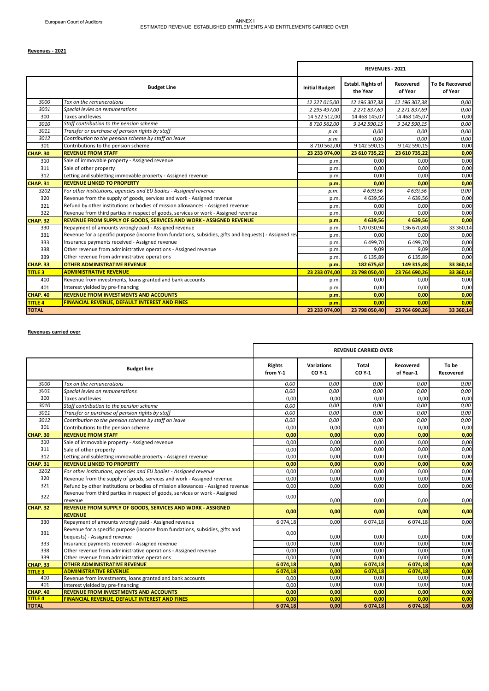#### **Revenues - 2021**

|                |                                                                                                       |                       | <b>REVENUES - 2021</b>        |                      |                                   |
|----------------|-------------------------------------------------------------------------------------------------------|-----------------------|-------------------------------|----------------------|-----------------------------------|
|                | <b>Budget Line</b>                                                                                    | <b>Initial Budget</b> | Establ. Rights of<br>the Year | Recovered<br>of Year | <b>To Be Recovered</b><br>of Year |
| 3000           | Tax on the remunerations                                                                              | 12 227 015,00         | 12 196 307,38                 | 12 196 307,38        | 0,00                              |
| 3001           | Special levies on remunerations                                                                       | 2 295 497,00          | 2 271 837,69                  | 2 271 837,69         | 0,00                              |
| 300            | Taxes and levies                                                                                      | 14 522 512,00         | 14 468 145,07                 | 14 468 145,07        | 0,00                              |
| 3010           | Staff contribution to the pension scheme                                                              | 8 710 562,00          | 9 142 590,15                  | 9 142 590,15         | 0,00                              |
| 3011           | Transfer or purchase of pension rights by staff                                                       | p.m.                  | 0,00                          | 0,00                 | 0,00                              |
| 3012           | Contribution to the pension scheme by staff on leave                                                  | p.m.                  | 0,00                          | 0,00                 | 0,00                              |
| 301            | Contributions to the pension scheme                                                                   | 8710562,00            | 9 142 590,15                  | 9 142 590,15         | 0,00                              |
| CHAP. 30       | <b>REVENUE FROM STAFF</b>                                                                             | 23 233 074,00         | 23 610 735,22                 | 23 610 735,22        | 0,00                              |
| 310            | Sale of immovable property - Assigned revenue                                                         | p.m.                  | 0,00                          | 0,00                 | 0,00                              |
| 311            | Sale of other property                                                                                | p.m.                  | 0,00                          | 0.00                 | 0,00                              |
| 312            | Letting and subletting immovable property - Assigned revenue                                          | p.m.                  | 0,00                          | 0,00                 | 0,00                              |
| CHAP. 31       | <b>REVENUE LINKED TO PROPERTY</b>                                                                     | p.m.                  | 0,00                          | 0.00                 | 0,00                              |
| 3202           | For other institutions, agencies and EU bodies - Assigned revenue                                     | p.m                   | 4 639,56                      | 4 639,56             | 0,00                              |
| 320            | Revenue from the supply of goods, services and work - Assigned revenue                                | p.m.                  | 4 639,56                      | 4 639,56             | 0,00                              |
| 321            | Refund by other institutions or bodies of mission allowances - Assigned revenue                       | p.m.                  | 0,00                          | 0.00                 | 0,00                              |
| 322            | Revenue from third parties in respect of goods, services or work - Assigned revenue                   | p.m.                  | 0,00                          | 0,00                 | 0,00                              |
| CHAP. 32       | REVENUE FROM SUPPLY OF GOODS, SERVICES AND WORK - ASSIGNED REVENUE                                    | p.m.                  | 4 639,56                      | 4 639,56             | 0,00                              |
| 330            | Repayment of amounts wrongly paid - Assigned revenue                                                  | p.m.                  | 170 030,94                    | 136 670,80           | 33 360,14                         |
| 331            | Revenue for a specific purpose (income from fundations, subsidies, gifts and bequests) - Assigned rev | p.m.                  | 0.00                          | 0.00                 | 0,00                              |
| 333            | Insurance payments received - Assigned revenue                                                        | p.m.                  | 6 499,70                      | 6499,70              | 0,00                              |
| 338            | Other revenue from administrative operations - Assigned revenue                                       | p.m.                  | 9.09                          | 9.09                 | 0,00                              |
| 339            | Other revenue from administrative operations                                                          | p.m.                  | 6 135,89                      | 6 135,89             | 0,00                              |
| CHAP. 33       | <b>OTHER ADMINISTRATIVE REVENUE</b>                                                                   | p.m.                  | 182 675,62                    | 149 315,48           | 33 360,14                         |
| <b>TITLE 3</b> | <b>ADMINISTRATIVE REVENUE</b>                                                                         | 23 233 074,00         | 23 798 050,40                 | 23 764 690.26        | 33 360,14                         |
| 400            | Revenue from investments, loans granted and bank accounts                                             | p.m.                  | 0,00                          | 0.00                 | 0,00                              |
| 401            | Interest yielded by pre-financing                                                                     | p.m.                  | 0.00                          | 0.00                 | 0,00                              |
| CHAP. 40       | <b>REVENUE FROM INVESTMENTS AND ACCOUNTS</b>                                                          | p.m.                  | 0,00                          | 0,00                 | 0,00                              |
| <b>TITLE 4</b> | <b>FINANCIAL REVENUE, DEFAULT INTEREST AND FINES</b>                                                  | p.m.                  | 0.00                          | 0.00                 | 0.00                              |
| <b>TOTAL</b>   |                                                                                                       | 23 233 074,00         | 23 798 050,40                 | 23 764 690,26        | 33 360,14                         |

#### **Revenues carried over**

|                     |                                                                                                              | <b>REVENUE CARRIED OVER</b> |                             |                 |                        |                    |  |
|---------------------|--------------------------------------------------------------------------------------------------------------|-----------------------------|-----------------------------|-----------------|------------------------|--------------------|--|
|                     | <b>Budget line</b>                                                                                           | <b>Rights</b><br>from Y-1   | <b>Variations</b><br>CO Y-1 | Total<br>CO Y-1 | Recovered<br>of Year-1 | To be<br>Recovered |  |
| 3000                | Tax on the remunerations                                                                                     | 0,00                        | 0,00                        | 0,00            | 0,00                   | 0,00               |  |
| 3001                | Special levies on remunerations                                                                              | 0.00                        | 0.00                        | 0.00            | 0.00                   | 0,00               |  |
| 300                 | Taxes and levies                                                                                             | 0,00                        | 0,00                        | 0,00            | 0,00                   | 0,00               |  |
| 3010                | Staff contribution to the pension scheme                                                                     | 0,00                        | 0,00                        | 0,00            | 0,00                   | 0,00               |  |
| 3011                | Transfer or purchase of pension rights by staff                                                              | 0,00                        | 0,00                        | 0,00            | 0,00                   | 0,00               |  |
| 3012                | Contribution to the pension scheme by staff on leave                                                         | 0,00                        | 0,00                        | 0,00            | 0,00                   | 0,00               |  |
| 301                 | Contributions to the pension scheme                                                                          | 0.00                        | 0.00                        | 0.00            | 0.00                   | 0,00               |  |
| <b>CHAP. 30</b>     | <b>REVENUE FROM STAFF</b>                                                                                    | 0.00                        | 0,00                        | 0,00            | 0.00                   | 0,00               |  |
| 310                 | Sale of immovable property - Assigned revenue                                                                | 0,00                        | 0,00                        | 0,00            | 0,00                   | 0,00               |  |
| 311                 | Sale of other property                                                                                       | 0,00                        | 0,00                        | 0,00            | 0,00                   | 0,00               |  |
| 312                 | Letting and subletting immovable property - Assigned revenue                                                 | 0,00                        | 0,00                        | 0,00            | 0,00                   | 0,00               |  |
| <b>CHAP. 31</b>     | <b>REVENUE LINKED TO PROPERTY</b>                                                                            | 0,00                        | 0,00                        | 0,00            | 0,00                   | 0,00               |  |
| 3202                | For other institutions, agencies and EU bodies - Assigned revenue                                            | 0,00                        | 0,00                        | 0,00            | 0,00                   | 0,00               |  |
| 320                 | Revenue from the supply of goods, services and work - Assigned revenue                                       | 0.00                        | 0,00                        | 0,00            | 0,00                   | 0,00               |  |
| 321                 | Refund by other institutions or bodies of mission allowances - Assigned revenue                              | 0.00                        | 0.00                        | 0.00            | 0.00                   | 0,00               |  |
| 322                 | Revenue from third parties in respect of goods, services or work - Assigned<br>revenue                       | 0,00                        | 0,00                        | 0,00            | 0,00                   | 0,00               |  |
| <b>CHAP. 32</b>     | REVENUE FROM SUPPLY OF GOODS, SERVICES AND WORK - ASSIGNED<br><b>REVENUE</b>                                 | 0,00                        | 0,00                        | 0,00            | 0,00                   | 0,00               |  |
| 330                 | Repayment of amounts wrongly paid - Assigned revenue                                                         | 6 0 74, 18                  | 0,00                        | 6 074,18        | 6 0 74, 18             | 0,00               |  |
| 331                 | Revenue for a specific purpose (income from fundations, subsidies, gifts and<br>bequests) - Assigned revenue | 0,00                        | 0,00                        | 0,00            | 0,00                   | 0,00               |  |
| 333                 | Insurance payments received - Assigned revenue                                                               | 0,00                        | 0,00                        | 0,00            | 0,00                   | 0,00               |  |
| 338                 | Other revenue from administrative operations - Assigned revenue                                              | 0,00                        | 0,00                        | 0,00            | 0,00                   | 0,00               |  |
| 339                 | Other revenue from administrative operations                                                                 | 0.00                        | 0,00                        | 0.00            | 0.00                   | 0,00               |  |
| <b>CHAP. 33</b>     | <b>OTHER ADMINISTRATIVE REVENUE</b>                                                                          | 6 074,18                    | 0,00                        | 6 074,18        | 6 074,18               | 0,00               |  |
| <b>TITLE 3</b>      | <b>ADMINISTRATIVE REVENUE</b>                                                                                | 6 074,18                    | 0.00                        | 6 074.18        | 6074.18                | 0.00               |  |
| 400                 | Revenue from investments, loans granted and bank accounts                                                    | 0,00                        | 0,00                        | 0,00            | 0,00                   | 0,00               |  |
| 401                 | Interest yielded by pre-financing                                                                            | 0.00                        | 0,00                        | 0.00            | 0.00                   | 0,00               |  |
| CHAP. 40<br>TITLE 4 | <b>REVENUE FROM INVESTMENTS AND ACCOUNTS</b>                                                                 | 0.00                        | 0.00                        | 0.00            | 0.00                   | 0,00               |  |
|                     | <b>FINANCIAL REVENUE, DEFAULT INTEREST AND FINES</b>                                                         | 0.00                        | 0.00                        | 0.00            | 0.00                   | 0.00               |  |
| <b>TOTAL</b>        |                                                                                                              | 6 074,18                    | 0.00                        | 6 074.18        | 6 074,18               | 0,00               |  |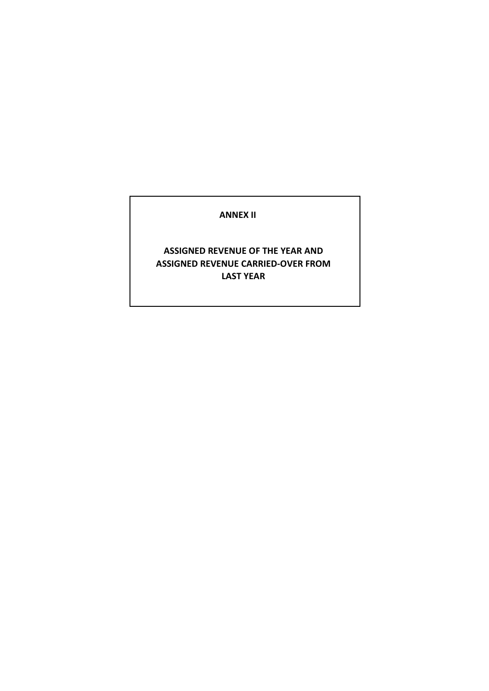#### **ANNEX II**

### **ASSIGNED REVENUE OF THE YEAR AND ASSIGNED REVENUE CARRIED-OVER FROM LAST YEAR**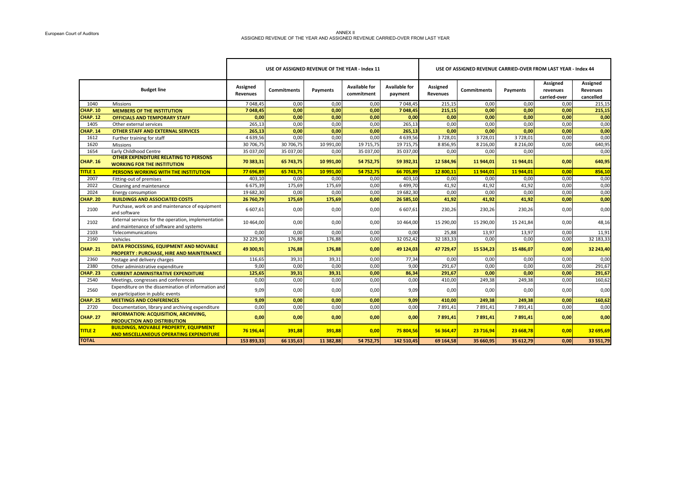#### ANNEX II هي المسلم ASSIGNED REVENUE OF THE YEAR AND ASSIGNED REVENUE CARRIED-OVER FROM LAST YEAR<br>ASSIGNED REVENUE OF THE YEAR AND ASSIGNED REVENUE CARRIED-OVER FROM LAST YEAR

|                 |                                                                                                 |                      | USE OF ASSIGNED REVENUE OF THE YEAR - Index 11 |           |                                    |                                 | USE OF ASSIGNED REVENUE CARRIED-OVER FROM LAST YEAR - Index 44 |             |            |                                      |                                          |
|-----------------|-------------------------------------------------------------------------------------------------|----------------------|------------------------------------------------|-----------|------------------------------------|---------------------------------|----------------------------------------------------------------|-------------|------------|--------------------------------------|------------------------------------------|
|                 | <b>Budget line</b>                                                                              | Assigned<br>Revenues | Commitments                                    | Payments  | <b>Available for</b><br>commitment | <b>Available for</b><br>payment | Assigned<br>Revenues                                           | Commitments | Payments   | Assigned<br>revenues<br>carried-over | Assigned<br><b>Revenues</b><br>cancelled |
| 1040            | <b>Missions</b>                                                                                 | 7 048,45             | 0,00                                           | 0.00      | 0.00                               | 7 048,45                        | 215.15                                                         | 0,00        | 0.00       | 0,00                                 | 215,15                                   |
| <b>CHAP. 10</b> | <b>MEMBERS OF THE INSTITUTION</b>                                                               | 7 048,45             | 0,00                                           | 0,00      | 0,00                               | 7 048,45                        | 215,15                                                         | 0,00        | 0,00       | 0,00                                 | 215,15                                   |
| <b>CHAP. 12</b> | <b>OFFICIALS AND TEMPORARY STAFF</b>                                                            | 0,00                 | 0.00                                           | 0.00      | 0.00                               | 0.00                            | 0,00                                                           | 0.00        | 0.00       | 0.00                                 | 0,00                                     |
| 1405            | Other external services                                                                         | 265,13               | 0,00                                           | 0,00      | 0,00                               | 265,13                          | 0,00                                                           | 0,00        | 0,00       | 0,00                                 | 0,00                                     |
| <b>CHAP. 14</b> | <b>OTHER STAFF AND EXTERNAL SERVICES</b>                                                        | 265,13               | 0,00                                           | 0,00      | 0,00                               | 265,13                          | 0,00                                                           | 0,00        | 0,00       | 0,00                                 | 0,00                                     |
| 1612            | Further training for staff                                                                      | 4 639,56             | 0,00                                           | 0.00      | 0.00                               | 4 639,56                        | 3728,01                                                        | 3728,01     | 3728,01    | 0,00                                 | 0,00                                     |
| 1620            | <b>Missions</b>                                                                                 | 30 706,75            | 30 706,75                                      | 10 991,00 | 19 715,75                          | 19 715,75                       | 8856,95                                                        | 8 2 16,00   | 8 2 1 6,00 | 0,00                                 | 640,95                                   |
| 1654            | Early Childhood Centre                                                                          | 35 037,00            | 35 037,00                                      | 0,00      | 35 037,00                          | 35 037,00                       | 0,00                                                           | 0,00        | 0,00       |                                      | 0,00                                     |
| <b>CHAP. 16</b> | <b>OTHER EXPENDITURE RELATING TO PERSONS</b><br><b>WORKING FOR THE INSTITUTION</b>              | 70 383,31            | 65 743,75                                      | 10 991,00 | 54 752,75                          | 59 392,31                       | 12 584,96                                                      | 11 944,01   | 11 944,01  | 0,00                                 | 640,95                                   |
| <b>TITLE 1</b>  | PERSONS WORKING WITH THE INSTITUTION                                                            | 77 696.89            | 65 743.75                                      | 10 991,00 | 54 752,75                          | 66 705.89                       | 12 800.11                                                      | 11 944.01   | 11 944.01  | 0,00                                 | 856,10                                   |
| 2007            | Fitting-out of premises                                                                         | 403,10               | 0,00                                           | 0,00      | 0,00                               | 403,10                          | 0,00                                                           | 0,00        | 0,00       | 0,00                                 | 0,00                                     |
| 2022            | Cleaning and maintenance                                                                        | 6 675,39             | 175,69                                         | 175,69    | 0,00                               | 6 499,70                        | 41,92                                                          | 41,92       | 41,92      | 0,00                                 | 0,00                                     |
| 2024            | Energy consumption                                                                              | 19 682,30            | 0,00                                           | 0,00      | 0,00                               | 19 682,30                       | 0,00                                                           | 0,00        | 0,00       | 0,00                                 | 0,00                                     |
| <b>CHAP. 20</b> | <b>BUILDINGS AND ASSOCIATED COSTS</b>                                                           | 26 760,79            | 175,69                                         | 175,69    | 0.00                               | 26 585,10                       | 41,92                                                          | 41,92       | 41,92      | 0.00                                 | 0,00                                     |
| 2100            | Purchase, work on and maintenance of equipment<br>and software                                  | 6 607,61             | 0,00                                           | 0,00      | 0,00                               | 6 607,61                        | 230,26                                                         | 230,26      | 230,26     | 0,00                                 | 0,00                                     |
| 2102            | External services for the operation, implementation<br>and maintenance of software and systems  | 10 4 64,00           | 0,00                                           | 0,00      | 0,00                               | 10 464,00                       | 15 290,00                                                      | 15 290,00   | 15 24 1,84 | 0,00                                 | 48,16                                    |
| 2103            | Telecommunications                                                                              | 0.00                 | 0,00                                           | 0,00      | 0,00                               | 0.00                            | 25,88                                                          | 13,97       | 13,97      | 0,00                                 | 11,91                                    |
| 2160            | Vehicles                                                                                        | 32 229,30            | 176,88                                         | 176,88    | 0,00                               | 32 052,42                       | 32 183,33                                                      | 0,00        | 0,00       | 0,00                                 | 32 183,33                                |
| <b>CHAP. 21</b> | DATA PROCESSING, EQUIPMENT AND MOVABLE<br><b>PROPERTY: PURCHASE, HIRE AND MAINTENANCE</b>       | 49 300,91            | 176,88                                         | 176,88    | 0,00                               | 49 124,03                       | 47 729,47                                                      | 15 534,23   | 15 486,07  | 0,00                                 | 32 243,40                                |
| 2360            | Postage and delivery charges                                                                    | 116,65               | 39,31                                          | 39,31     | 0,00                               | 77,34                           | 0,00                                                           | 0,00        | 0,00       | 0,00                                 | 0,00                                     |
| 2380            | Other administrative expenditure                                                                | 9,00                 | 0,00                                           | 0.00      | 0.00                               | 9.00                            | 291.67                                                         | 0.00        | 0.00       | 0.00                                 | 291,67                                   |
| <b>CHAP. 23</b> | <b>CURRENT ADMINISTRATIVE EXPENDITURE</b>                                                       | 125,65               | 39,31                                          | 39,31     | 0,00                               | 86,34                           | 291,67                                                         | 0,00        | 0.00       | 0,00                                 | 291,67                                   |
| 2540            | Meetings, congresses and conferences                                                            | 0,00                 | 0,00                                           | 0,00      | 0,00                               | 0,00                            | 410,00                                                         | 249,38      | 249,38     | 0,00                                 | 160,62                                   |
| 2560            | Expenditure on the dissemination of information and<br>on participation in public events        | 9,09                 | 0,00                                           | 0,00      | 0,00                               | 9,09                            | 0,00                                                           | 0,00        | 0,00       | 0,00                                 | 0,00                                     |
| <b>CHAP. 25</b> | <b>MEETINGS AND CONFERENCES</b>                                                                 | 9,09                 | 0,00                                           | 0,00      | 0,00                               | 9,09                            | 410,00                                                         | 249,38      | 249,38     | 0,00                                 | 160,62                                   |
| 2720            | Documentation, library and archiving expenditure                                                | 0.00                 | 0.00                                           | 0.00      | 0.00                               | 0.00                            | 7891.41                                                        | 7891.41     | 7891.41    | 0.00                                 | 0,00                                     |
| <b>CHAP. 27</b> | <b>INFORMATION: ACQUISITION, ARCHIVING,</b><br><b>PRODUCTION AND DISTRIBUTION</b>               | 0,00                 | 0,00                                           | 0,00      | 0,00                               | 0,00                            | 7891,41                                                        | 7891,41     | 7891,41    | 0,00                                 | 0,00                                     |
| <b>TITLE 2</b>  | <b>BUILDINGS, MOVABLE PROPERTY, EQUIPMENT</b><br><b>AND MISCELLANEOUS OPERATING EXPENDITURE</b> | 76 196,44            | 391,88                                         | 391,88    | 0.00                               | 75 804,56                       | 56 364,47                                                      | 23 716,94   | 23 668,78  | 0,00                                 | 32 695,69                                |
| <b>TOTAL</b>    |                                                                                                 | 153 893,33           | 66 135,63                                      | 11 382,88 | 54 752,75                          | 142 510,45                      | 69 164,58                                                      | 35 660,95   | 35 612,79  | 0,00                                 | 33 551,79                                |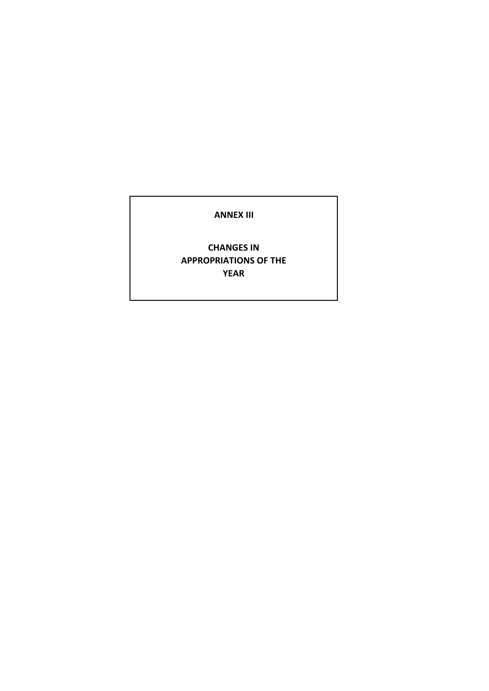#### **ANNEX III**

### **CHANGES IN APPROPRIATIONS OF THE YEAR**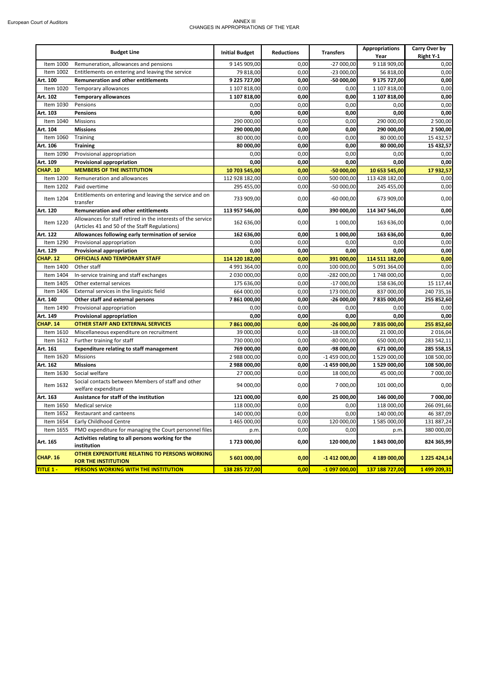#### European Court of Auditors ANNEX III CHANGES IN APPROPRIATIONS OF THE YEAR

|                  | <b>Budget Line</b>                                                                                            | <b>Initial Budget</b> | <b>Reductions</b> | <b>Transfers</b> | <b>Appropriations</b><br>Year | Carry Over by<br>Right Y-1 |
|------------------|---------------------------------------------------------------------------------------------------------------|-----------------------|-------------------|------------------|-------------------------------|----------------------------|
| Item 1000        | Remuneration, allowances and pensions                                                                         | 9 145 909,00          | 0,00              | $-27000,00$      | 9 118 909,00                  | 0,00                       |
| Item 1002        | Entitlements on entering and leaving the service                                                              | 79 818,00             | 0,00              | $-23000,00$      | 56 818,00                     | 0,00                       |
| Art. 100         | <b>Remuneration and other entitlements</b>                                                                    | 9 225 727,00          | 0,00              | -50 000,00       | 9 175 727,00                  | 0,00                       |
| Item 1020        | Temporary allowances                                                                                          | 1 107 818,00          | 0,00              | 0,00             | 1 107 818,00                  | 0,00                       |
| Art. 102         | <b>Temporary allowances</b>                                                                                   | 1 107 818,00          | 0,00              | 0,00             | 1 107 818,00                  | 0,00                       |
| Item 1030        | Pensions                                                                                                      | 0,00                  | 0,00              | 0,00             | 0,00                          | 0,00                       |
| Art. 103         | <b>Pensions</b>                                                                                               | 0,00                  | 0,00              | 0,00             | 0,00                          | 0,00                       |
| Item 1040        | Missions                                                                                                      | 290 000,00            | 0,00              | 0,00             | 290 000,00                    | 2 500,00                   |
| Art. 104         | <b>Missions</b>                                                                                               | 290 000,00            | 0,00              | 0,00             | 290 000,00                    | 2 500,00                   |
| Item 1060        | Training                                                                                                      | 80 000,00             | 0,00              | 0,00             | 80 000,00                     | 15 432,57                  |
| Art. 106         | <b>Training</b>                                                                                               | 80 000,00             | 0,00              | 0,00             | 80 000,00                     | 15 432,57                  |
| Item 1090        | Provisional appropriation                                                                                     | 0,00                  | 0,00              | 0,00             | 0,00                          | 0,00                       |
| Art. 109         | <b>Provisional appropriation</b>                                                                              | 0,00                  | 0,00              | 0,00             | 0,00                          | 0,00                       |
| <b>CHAP. 10</b>  | <b>MEMBERS OF THE INSTITUTION</b>                                                                             | 10 703 545,00         | 0,00              | $-50000,00$      | 10 653 545,00                 | 17 932,57                  |
| Item 1200        | Remuneration and allowances                                                                                   | 112 928 182,00        | 0,00              | 500 000,00       | 113 428 182,00                | 0,00                       |
| Item 1202        | Paid overtime                                                                                                 | 295 455,00            | 0,00              | $-50000,00$      | 245 455,00                    | 0,00                       |
| Item 1204        | Entitlements on entering and leaving the service and on<br>transfer                                           | 733 909,00            | 0,00              | $-60000,00$      | 673 909,00                    | 0,00                       |
| Art. 120         | Remuneration and other entitlements                                                                           | 113 957 546,00        | 0,00              | 390 000,00       | 114 347 546,00                | 0,00                       |
| Item 1220        | Allowances for staff retired in the interests of the service<br>(Articles 41 and 50 of the Staff Regulations) | 162 636,00            | 0,00              | 1 000,00         | 163 636,00                    | 0,00                       |
| Art. 122         | Allowances following early termination of service                                                             | 162 636,00            | 0,00              | 1 000,00         | 163 636,00                    | 0,00                       |
| Item 1290        | Provisional appropriation                                                                                     | 0,00                  | 0,00              | 0,00             | 0,00                          | 0,00                       |
| Art. 129         | Provisional appropriation                                                                                     | 0,00                  | 0,00              | 0,00             | 0,00                          | 0,00                       |
| <b>CHAP. 12</b>  | OFFICIALS AND TEMPORARY STAFF                                                                                 | 114 120 182,00        | 0,00              | 391 000,00       | 114 511 182,00                | 0,00                       |
| Item 1400        | Other staff                                                                                                   | 4 991 364,00          | 0,00              | 100 000,00       | 5 091 364,00                  | 0,00                       |
| Item 1404        | In-service training and staff exchanges                                                                       | 2 030 000,00          | 0,00              | -282 000,00      | 1748 000,00                   | 0,00                       |
| Item 1405        | Other external services                                                                                       | 175 636,00            | 0,00              | $-17000,00$      | 158 636,00                    | 15 117,44                  |
| Item 1406        | External services in the linguistic field                                                                     | 664 000,00            | 0,00              | 173 000,00       | 837 000,00                    | 240 735,16                 |
| Art. 140         | Other staff and external persons                                                                              | 7861000,00            | 0,00              | $-26000,00$      | 7835000,00                    | 255 852,60                 |
| Item 1490        | Provisional appropriation                                                                                     | 0,00                  | 0,00              | 0,00             | 0,00                          | 0,00                       |
| Art. 149         | Provisional appropriation                                                                                     | 0,00                  | 0,00              | 0,00             | 0,00                          | 0,00                       |
| CHAP. 14         | <b>OTHER STAFF AND EXTERNAL SERVICES</b>                                                                      | 7861000,00            | 0,00              | $-26000,00$      | 7835000,00                    | 255 852,60                 |
| Item 1610        | Miscellaneous expenditure on recruitment                                                                      | 39 000,00             | 0,00              | $-18000,00$      | 21 000,00                     | 2 016,04                   |
| Item 1612        | Further training for staff                                                                                    | 730 000,00            | 0,00              | $-80000,00$      | 650 000,00                    | 283 542,11                 |
| Art. 161         | <b>Expenditure relating to staff management</b>                                                               | 769 000,00            | 0,00              | -98 000,00       | 671 000,00                    | 285 558,15                 |
| Item 1620        | Missions                                                                                                      | 2 988 000,00          | 0,00              | $-1459000,00$    | 1 529 000,00                  | 108 500,00                 |
| Art. 162         | <b>Missions</b>                                                                                               | 2 988 000,00          | 0,00              | -1 459 000,00    | 1 529 000,00                  | 108 500,00                 |
| Item 1630        | Social welfare                                                                                                | 27 000,00             | 0,00              | 18 000,00        | 45 000,00                     | 7 000,00                   |
| Item 1632        | Social contacts between Members of staff and other<br>welfare expenditure                                     | 94 000,00             | 0,00              | 7 000,00         | 101 000,00                    | 0,00                       |
| Art. 163         | Assistance for staff of the institution                                                                       | 121 000,00            | 0,00              | 25 000,00        | 146 000,00                    | 7 000,00                   |
| Item 1650        | <b>Medical service</b>                                                                                        | 118 000,00            | 0,00              | 0,00             | 118 000,00                    | 266 091,66                 |
|                  | Item 1652 Restaurant and canteens                                                                             | 140 000,00            | 0,00              | 0,00             | 140 000,00                    | 46 387,09                  |
| Item 1654        | Early Childhood Centre                                                                                        | 1 465 000,00          | 0,00              | 120 000,00       | 1 585 000,00                  | 131 887,24                 |
| Item 1655        | PMO expenditure for managing the Court personnel files                                                        | p.m.                  | 0,00              | 0,00             | p.m.                          | 380 000,00                 |
|                  | Activities relating to all persons working for the                                                            |                       |                   |                  |                               |                            |
| Art. 165         | institution                                                                                                   | 1 723 000,00          | 0,00              | 120 000,00       | 1843 000,00                   | 824 365,99                 |
| <b>CHAP. 16</b>  | OTHER EXPENDITURE RELATING TO PERSONS WORKING<br>FOR THE INSTITUTION                                          | 5 601 000,00          | 0,00              | $-1412000,00$    | 4 189 000,00                  | 1 225 424,14               |
| <b>TITLE 1 -</b> | PERSONS WORKING WITH THE INSTITUTION                                                                          | 138 285 727,00        | 0,00              | $-1097000,00$    | 137 188 727,00                | 1499 209,31                |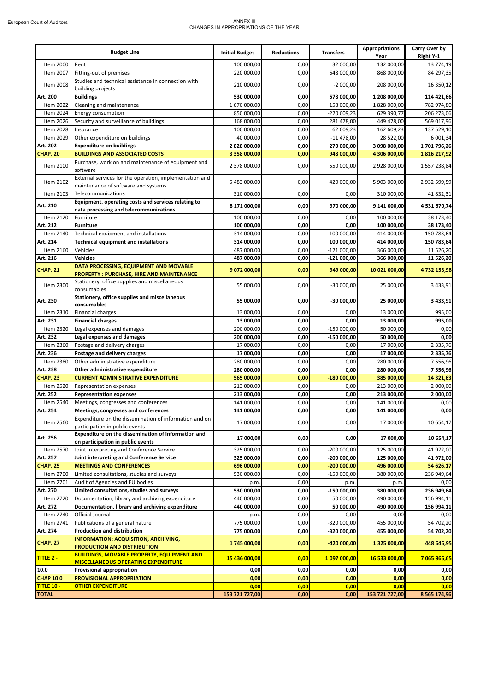#### European Court of Auditors ANNEX III CHANGES IN APPROPRIATIONS OF THE YEAR

|                   | <b>Budget Line</b>                                                                             | <b>Initial Budget</b> | <b>Reductions</b> | <b>Transfers</b>  | <b>Appropriations</b><br>Year | Carry Over by<br>Right Y-1 |
|-------------------|------------------------------------------------------------------------------------------------|-----------------------|-------------------|-------------------|-------------------------------|----------------------------|
| Item 2000         | Rent                                                                                           | 100 000,00            | 0,00              | 32 000,00         | 132 000,00                    | 13 774,19                  |
| Item 2007         | Fitting-out of premises                                                                        | 220 000,00            | 0,00              | 648 000,00        | 868 000,00                    | 84 297,35                  |
|                   | Studies and technical assistance in connection with                                            |                       |                   |                   |                               |                            |
| Item 2008         | building projects                                                                              | 210 000,00            | 0,00              | $-2000,00$        | 208 000,00                    | 16 350,12                  |
| Art. 200          | <b>Buildings</b>                                                                               | 530 000,00            | 0,00              | 678 000,00        | 1 208 000,00                  | 114 421,66                 |
| Item 2022         | Cleaning and maintenance                                                                       | 1 670 000,00          | 0,00              | 158 000,00        | 1828000,00                    | 782 974,80                 |
| Item 2024         | Energy consumption                                                                             | 850 000,00            | 0,00              | -220 609,23       | 629 390,77                    | 206 273,06                 |
| Item 2026         | Security and surveillance of buildings                                                         | 168 000,00            | 0,00              | 281 478,00        | 449 478,00                    | 569 017,96                 |
| Item 2028         | Insurance                                                                                      | 100 000,00            | 0,00              | 62 609,23         | 162 609,23                    | 137 529,10                 |
| Item 2029         | Other expenditure on buildings                                                                 | 40 000,00             | 0,00              | $-11478,00$       | 28 522,00                     | 6 001,34                   |
| Art. 202          | <b>Expenditure on buildings</b>                                                                | 2 828 000,00          | 0,00              | 270 000,00        | 3 098 000,00                  | 1701796,26                 |
| <b>CHAP. 20</b>   | <b>BUILDINGS AND ASSOCIATED COSTS</b>                                                          | 3 358 000,00          | 0,00              | 948 000,00        | 4 306 000,00                  | 1816217,92                 |
| Item 2100         | Purchase, work on and maintenance of equipment and<br>software                                 | 2 378 000,00          | 0,00              | 550 000,00        | 2 928 000,00                  | 1557238,84                 |
| Item 2102         | External services for the operation, implementation and<br>maintenance of software and systems | 5 483 000,00          | 0,00              | 420 000,00        | 5 903 000,00                  | 2 932 599,59               |
| Item 2103         | Telecommunications                                                                             | 310 000,00            | 0,00              | 0,00              | 310 000,00                    | 41 832,31                  |
| Art. 210          | Equipment. operating costs and services relating to<br>data processing and telecommunications  | 8 171 000,00          | 0,00              | 970 000,00        | 9 141 000,00                  | 4531670,74                 |
| Item 2120         | Furniture                                                                                      | 100 000,00            | 0,00              | 0,00              | 100 000,00                    | 38 173,40                  |
| Art. 212          | <b>Furniture</b>                                                                               | 100 000,00            | 0,00              | 0,00              | 100 000,00                    | 38 173,40                  |
| Item 2140         | Technical equipment and installations                                                          | 314 000,00            | 0,00              | 100 000,00        | 414 000,00                    | 150 783,64                 |
| Art. 214          | <b>Technical equipment and installations</b>                                                   | 314 000,00            | 0,00              | 100 000,00        | 414 000,00                    | 150 783,64                 |
| Item 2160         | Vehicles                                                                                       | 487 000,00            | 0,00              | $-121000,00$      | 366 000,00                    | 11 526,20                  |
| Art. 216          | <b>Vehicles</b>                                                                                | 487 000,00            | 0,00              | $-121000,00$      | 366 000,00                    | 11 526,20                  |
|                   | DATA PROCESSING, EQUIPMENT AND MOVABLE                                                         |                       |                   |                   |                               |                            |
| <b>CHAP. 21</b>   | <b>PROPERTY: PURCHASE, HIRE AND MAINTENANCE</b>                                                | 9 072 000,00          | 0,00              | 949 000,00        | 10 021 000,00                 | 4732153,98                 |
| Item 2300         | Stationery, office supplies and miscellaneous<br>consumables                                   | 55 000,00             | 0,00              | $-30000,00$       | 25 000,00                     | 3 4 3 3 , 9 1              |
| Art. 230          | Stationery, office supplies and miscellaneous<br>consumables                                   | 55 000,00             | 0,00              | $-30000,00$       | 25 000,00                     | 3 433,91                   |
| Item 2310         | <b>Financial charges</b>                                                                       | 13 000,00             | 0,00              | 0,00              | 13 000,00                     | 995,00                     |
| Art. 231          | <b>Financial charges</b>                                                                       | 13 000,00             | 0,00              | 0,00              | 13 000,00                     | 995,00                     |
| Item 2320         | Legal expenses and damages                                                                     | 200 000,00            | 0,00              | $-150000,00$      | 50 000,00                     | 0,00                       |
| Art. 232          | Legal expenses and damages                                                                     | 200 000,00            | 0,00              | $-150000,00$      | 50 000,00                     | 0,00                       |
| Item 2360         | Postage and delivery charges                                                                   | 17 000,00             | 0,00              | 0,00              | 17 000,00                     | 2 3 3 5 , 7 6              |
| Art. 236          | Postage and delivery charges                                                                   | 17 000,00             | 0,00              | 0,00              | 17 000,00                     | 2 3 3 5 , 7 6              |
| Item 2380         | Other administrative expenditure                                                               | 280 000,00            | 0,00              | 0,00              | 280 000,00                    | 7556,96                    |
| Art. 238          | Other administrative expenditure                                                               | 280 000,00            | 0,00              | 0,00              | 280 000,00                    | 7556,96                    |
| CHAP. 23          | <b>CURRENT ADMINISTRATIVE EXPENDITURE</b>                                                      | 565 000,00            | 0,00              | $-180000,00$      | 385 000,00                    | 14 321,63                  |
| Item 2520         | Representation expenses                                                                        | 213 000,00            | 0,00              | 0,00              | 213 000,00                    | 2 000,00                   |
| Art. 252          | <b>Representation expenses</b>                                                                 | 213 000,00            | 0,00              | 0,00              | 213 000,00                    | 2 000,00                   |
| Item 2540         | Meetings, congresses and conferences                                                           | 141 000,00            | 0,00              | 0,00              | 141 000,00                    | 0,00                       |
| Art. 254          | Meetings, congresses and conferences                                                           | 141 000,00            |                   |                   |                               |                            |
| Item 2560         | Expenditure on the dissemination of information and on                                         | 17 000,00             | $_{0,00}$<br>0,00 | $_{0,00}$<br>0,00 | 141 000,00<br>17 000,00       | $_{0,00}$<br>10 654,17     |
|                   | participation in public events<br>Expenditure on the dissemination of information and          |                       |                   |                   |                               |                            |
| Art. 256          | on participation in public events                                                              | 17 000,00             | 0,00              | 0,00              | 17 000,00                     | 10 654,17                  |
| Item 2570         | Joint Interpreting and Conference Service                                                      | 325 000,00            | 0,00              | $-200000000$      | 125 000,00                    | 41 972,00                  |
| Art. 257          | Joint interpreting and Conference Service                                                      | 325 000,00            | 0,00              | $-200000,00$      | 125 000,00                    | 41 972,00                  |
| CHAP. 25          | <b>MEETINGS AND CONFERENCES</b>                                                                | 696 000,00            | 0,00              | $-200000,00$      | 496 000,00                    | 54 626,17                  |
| Item 2700         | Limited consultations, studies and surveys                                                     | 530 000,00            | 0,00              | $-150000,00$      | 380 000,00                    | 236 949,64                 |
| Item 2701         | Audit of Agencies and EU bodies                                                                | p.m.                  | 0,00              | p.m               | p.m.                          | 0,00                       |
| Art. 270          | Limited consultations, studies and surveys                                                     | 530 000,00            | 0,00              | $-150000,00$      | 380 000,00                    | 236 949,64                 |
| Item 2720         | Documentation, library and archiving expenditure                                               | 440 000,00            | 0,00              | 50 000,00         | 490 000,00                    | 156 994,11                 |
| Art. 272          | Documentation, library and archiving expenditure                                               | 440 000,00            | 0,00              | 50 000,00         | 490 000,00                    | 156 994,11                 |
| Item 2740         | Official Journal                                                                               | p.m.                  | 0,00              | 0,00              | 0,00                          | 0,00                       |
| Item 2741         | Publications of a general nature                                                               | 775 000,00            | 0,00              | $-320000,00$      | 455 000,00                    | 54 702,20                  |
| Art. 274          | <b>Production and distribution</b>                                                             | 775 000,00            | 0,00              | -320 000,00       | 455 000,00                    | 54 702,20                  |
| <b>CHAP. 27</b>   | <b>INFORMATION: ACQUISITION, ARCHIVING,</b>                                                    | 1 745 000,00          | 0,00              | $-420000,00$      | 1 325 000,00                  | 448 645,95                 |
| TITLE 2 -         | PRODUCTION AND DISTRIBUTION<br><b>BUILDINGS, MOVABLE PROPERTY, EQUIPMENT AND</b>               | 15 436 000,00         | 0,00              | 1 097 000,00      | 16 533 000,00                 | 7 065 965,65               |
|                   | <b>MISCELLANEOUS OPERATING EXPENDITURE</b>                                                     |                       |                   |                   |                               |                            |
| 10.0              | Provisional appropriation                                                                      | 0,00                  | 0,00              | 0,00              | 0,00                          | 0,00                       |
| <b>CHAP 100</b>   | PROVISIONAL APPROPRIATION                                                                      | 0,00                  | 0,00              | 0,00              | 0,00                          | 0,00                       |
| <b>TITLE 10 -</b> | <b>OTHER EXPENDITURE</b>                                                                       | 0,00                  | 0,00              | 0,00              | 0,00                          | 0,00                       |
| <b>TOTAL</b>      |                                                                                                | 153 721 727,00        | 0,00              | 0,00              | 153 721 727,00                | 8 5 65 174,96              |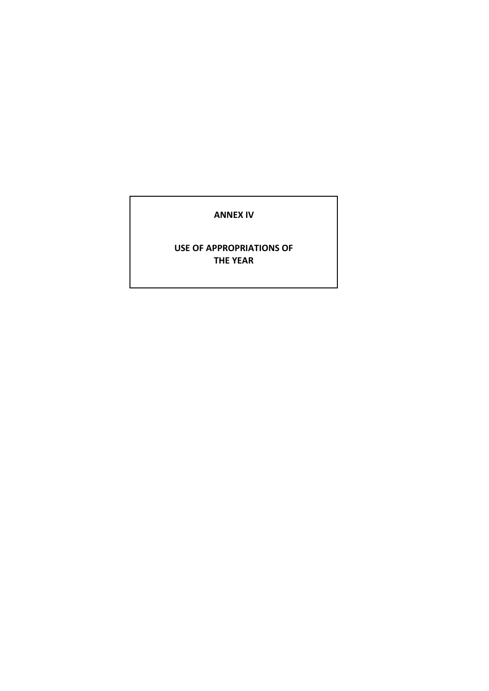#### **ANNEX IV**

#### **USE OF APPROPRIATIONS OF THE YEAR**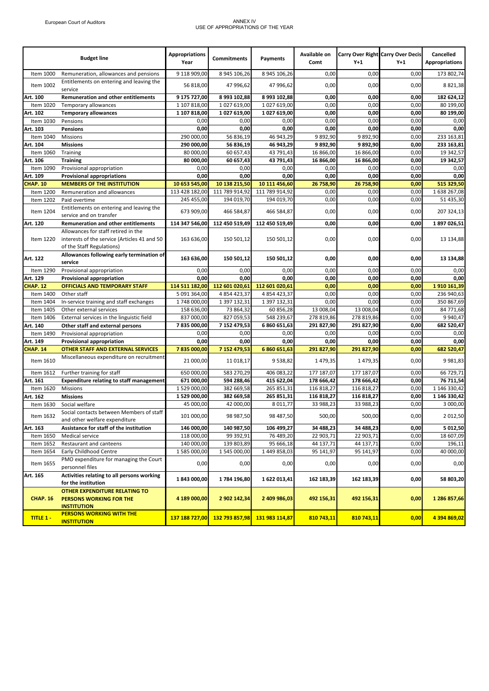#### European Court of Auditors ANNEX IV USE OF APPROPRIATIONS OF THE YEAR

|                  | <b>Budget line</b>                                                                                               | <b>Appropriations</b><br>Year | <b>Commitments</b> | Payments       | Available on<br>Comt | $Y+1$      | <b>Carry Over Right Carry Over Decis</b><br>$Y+1$ | Cancelled<br><b>Appropriations</b> |
|------------------|------------------------------------------------------------------------------------------------------------------|-------------------------------|--------------------|----------------|----------------------|------------|---------------------------------------------------|------------------------------------|
| Item 1000        | Remuneration, allowances and pensions                                                                            | 9 118 909,00                  | 8 945 106,26       | 8 945 106,26   | 0,00                 | 0,00       | 0,00                                              | 173 802,74                         |
| Item 1002        | Entitlements on entering and leaving the<br>service                                                              | 56 818,00                     | 47 996,62          | 47 996,62      | 0,00                 | 0,00       | 0,00                                              | 8 8 2 1 , 3 8                      |
| Art. 100         | Remuneration and other entitlements                                                                              | 9 175 727.00                  | 8 993 102,88       | 8 993 102,88   | 0,00                 | 0,00       | 0,00                                              | 182 624.12                         |
| Item 1020        | Temporary allowances                                                                                             | 1 107 818,00                  | 1 027 619,00       | 1 027 619,00   | 0,00                 | 0,00       | 0,00                                              | 80 199,00                          |
| Art. 102         | <b>Temporary allowances</b>                                                                                      | 1 107 818,00                  | 1027 619,00        | 1 027 619,00   | 0,00                 | 0,00       | 0,00                                              | 80 199,00                          |
| Item 1030        | Pensions                                                                                                         | 0,00                          | 0,00               | 0,00           | 0,00                 | 0,00       | 0,00                                              | 0,00                               |
| Art. 103         | <b>Pensions</b>                                                                                                  | 0,00                          | 0,00               | 0,00           | 0,00                 | 0,00       | 0,00                                              | 0,00                               |
| Item 1040        | <b>Missions</b>                                                                                                  | 290 000,00                    | 56 836,19          | 46 943,29      | 9892,90              | 9892,90    | 0,00                                              | 233 163,81                         |
| Art. 104         | <b>Missions</b>                                                                                                  | 290 000,00                    | 56 836,19          | 46 943,29      | 9892,90              | 9892,90    | 0,00                                              | 233 163,81                         |
| Item 1060        | Training                                                                                                         | 80 000,00                     | 60 657,43          | 43 791,43      | 16 866,00            | 16 866,00  | 0,00                                              | 19 342,57                          |
| Art. 106         | <b>Training</b>                                                                                                  | 80 000,00                     | 60 657,43          | 43 791,43      | 16 866,00            | 16 866.00  | 0,00                                              | 19 342.57                          |
| Item 1090        | Provisional appropriation                                                                                        | 0,00                          | 0,00               | 0,00           | 0,00                 | 0,00       | 0,00                                              | 0,00                               |
| Art. 109         | <b>Provisional appropriations</b>                                                                                | 0,00                          | 0,00               | 0,00           | 0,00                 | 0,00       | 0,00                                              | 0,00                               |
| <b>CHAP. 10</b>  | <b>MEMBERS OF THE INSTITUTION</b>                                                                                | 10 653 545,00                 | 10 138 215,50      | 10 111 456,60  | 26 758,90            | 26 758,90  | 0,00                                              | 515 329,50                         |
| Item 1200        | Remuneration and allowances                                                                                      | 113 428 182,00                | 111 789 914,92     | 111 789 914,92 | 0,00                 | 0,00       | 0,00                                              | 1638 267,08                        |
| Item 1202        | Paid overtime                                                                                                    | 245 455,00                    | 194 019,70         | 194 019,70     | 0,00                 | 0,00       | 0,00                                              | 51 435,30                          |
|                  | Entitlements on entering and leaving the                                                                         |                               |                    |                |                      |            |                                                   |                                    |
| Item 1204        | service and on transfer                                                                                          | 673 909,00                    | 466 584,87         | 466 584,87     | 0,00                 | 0,00       | 0,00                                              | 207 324,13                         |
| Art. 120         | Remuneration and other entitlements                                                                              | 114 347 546,00                | 112 450 519,49     | 112 450 519,49 | 0,00                 | 0,00       | 0,00                                              | 1897026,51                         |
| Item 1220        | Allowances for staff retired in the<br>interests of the service (Articles 41 and 50<br>of the Staff Regulations) | 163 636.00                    | 150 501.12         | 150 501,12     | 0,00                 | 0,00       | 0,00                                              | 13 134,88                          |
| Art. 122         | Allowances following early termination of<br>service                                                             | 163 636,00                    | 150 501,12         | 150 501,12     | 0,00                 | 0,00       | 0,00                                              | 13 134,88                          |
| Item 1290        | Provisional appropriation                                                                                        | 0,00                          | 0,00               | 0,00           | 0,00                 | 0,00       | 0,00                                              | 0,00                               |
| Art. 129         | <b>Provisional appropriation</b>                                                                                 | 0,00                          | 0,00               | 0,00           | 0,00                 | 0,00       | 0,00                                              | 0,00                               |
| <b>CHAP. 12</b>  | <b>OFFICIALS AND TEMPORARY STAFF</b>                                                                             | 114 511 182,00                | 112 601 020,61     | 112 601 020,61 | 0,00                 | 0,00       | 0,00                                              | 1910161,39                         |
| Item 1400        | Other staff                                                                                                      | 5 091 364,00                  | 4 854 423,37       | 4 854 423,37   | 0,00                 | 0,00       | 0,00                                              | 236 940,63                         |
| Item 1404        | In-service training and staff exchanges                                                                          | 1748 000,00                   | 1 397 132,31       | 1 397 132,31   | 0,00                 | 0,00       | 0,00                                              | 350 867,69                         |
| Item 1405        | Other external services                                                                                          | 158 636,00                    | 73 864,32          | 60 856,28      | 13 008,04            | 13 008,04  | 0,00                                              | 84 771,68                          |
| Item 1406        | External services in the linguistic field                                                                        | 837 000,00                    | 827 059,53         | 548 239,67     | 278 819,86           | 278 819,86 | 0,00                                              | 9 9 4 0, 47                        |
| Art. 140         | Other staff and external persons                                                                                 | 7835000,00                    | 7 152 479,53       | 6 860 651,63   | 291 827,90           | 291 827,90 | 0,00                                              | 682 520,47                         |
| Item 1490        | Provisional appropriation                                                                                        | 0,00                          | 0,00               | 0,00           | 0,00                 | 0,00       | 0,00                                              | 0,00                               |
| Art. 149         | <b>Provisional appropriation</b>                                                                                 | 0,00                          | 0,00               | 0,00           | 0,00                 | 0,00       | 0,00                                              | 0,00                               |
| <b>CHAP. 14</b>  | <b>OTHER STAFF AND EXTERNAL SERVICES</b>                                                                         | 7835000,00                    | 7 152 479,53       | 6 860 651,63   | 291 827,90           | 291 827,90 | 0,00                                              | 682 520,47                         |
| Item 1610        | Miscellaneous expenditure on recruitment                                                                         | 21 000,00                     | 11 018,17          | 9 538,82       | 1479,35              | 1479,35    | 0,00                                              | 9981,83                            |
| Item 1612        | Further training for staff                                                                                       | 650 000,00                    | 583 270,29         | 406 083,22     | 177 187,07           | 177 187,07 | 0,00                                              | 66 729,71                          |
| Art. 161         | <b>Expenditure relating to staff management</b>                                                                  | 671 000,00                    | 594 288,46         | 415 622,04     | 178 666,42           | 178 666,42 | 0,00                                              | 76 711,54                          |
| Item 1620        | <b>Missions</b>                                                                                                  | 1 529 000,00                  | 382 669,58         | 265 851,31     | 116 818,27           | 116 818,27 | 0,00                                              | 1 146 330,42                       |
| Art. 162         | <b>Missions</b>                                                                                                  | 1 529 000,00                  | 382 669,58         | 265 851,31     | 116 818,27           | 116 818,27 | 0,00                                              | 1 146 330,42                       |
| Item 1630        | Social welfare                                                                                                   | 45 000,00                     | 42 000.00          | 8 0 1 1, 77    | 33 988,23            | 33 988,23  | 0.00                                              | 3 000,00                           |
| Item 1632        | Social contacts between Members of staff<br>and other welfare expenditure                                        | 101 000,00                    | 98 987,50          | 98 487,50      | 500,00               | 500,00     | 0,00                                              | 2 012,50                           |
| Art. 163         | Assistance for staff of the institution                                                                          | 146 000,00                    | 140 987,50         | 106 499,27     | 34 488,23            | 34 488,23  | 0,00                                              | 5 012,50                           |
| Item 1650        | Medical service                                                                                                  | 118 000,00                    | 99 392,91          | 76 489,20      | 22 903,71            | 22 903,71  | 0,00                                              | 18 607,09                          |
| Item 1652        | Restaurant and canteens                                                                                          | 140 000,00                    | 139 803,89         | 95 666,18      | 44 137,71            | 44 137,71  | 0,00                                              | 196,11                             |
| Item 1654        | Early Childhood Centre                                                                                           | 1 585 000,00                  | 1 545 000,00       | 1 449 858,03   | 95 141,97            | 95 141,97  | 0,00                                              | 40 000,00                          |
| Item 1655        | PMO expenditure for managing the Court<br>personnel files                                                        | 0,00                          | 0,00               | 0,00           | 0,00                 | 0,00       | 0,00                                              | 0,00                               |
| Art. 165         | Activities relating to all persons working<br>for the institution                                                | 1843 000,00                   | 1784 196,80        | 1622013,41     | 162 183,39           | 162 183,39 | 0,00                                              | 58 803,20                          |
| <b>CHAP. 16</b>  | OTHER EXPENDITURE RELATING TO<br>PERSONS WORKING FOR THE<br><b>INSTITUTION</b>                                   | 4 189 000,00                  | 2 902 142,34       | 2 409 986,03   | 492 156,31           | 492 156,31 | 0,00                                              | 1 286 857,66                       |
| <b>TITLE 1 -</b> | <b>PERSONS WORKING WITH THE</b><br><b>INSTITUTION</b>                                                            | 137 188 727,00                | 132 793 857,98     | 131 983 114,87 | 810 743,11           | 810 743,11 | 0,00                                              | 4 394 869,02                       |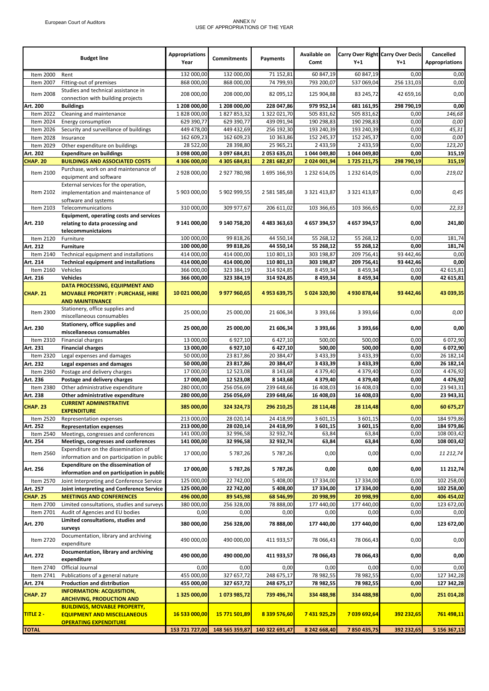#### European Court of Auditors ANNEX IV USE OF APPROPRIATIONS OF THE YEAR

|                        | <b>Budget line</b>                                                                                        | <b>Appropriations</b><br>Year | <b>Commitments</b> | Payments       | Available on<br>Comt | $Y+1$               | Carry Over Right Carry Over Decis<br>$Y+1$ | Cancelled<br><b>Appropriations</b> |
|------------------------|-----------------------------------------------------------------------------------------------------------|-------------------------------|--------------------|----------------|----------------------|---------------------|--------------------------------------------|------------------------------------|
| Item 2000              | Rent                                                                                                      | 132 000,00                    | 132 000,00         | 71 152,81      | 60 847,19            | 60 847,19           | 0,00                                       | 0,00                               |
| Item 2007              | Fitting-out of premises                                                                                   | 868 000,00                    | 868 000,00         | 74 799,93      | 793 200,07           | 537 069,04          | 256 131,03                                 | 0,00                               |
| Item 2008              | Studies and technical assistance in<br>connection with building projects                                  | 208 000,00                    | 208 000,00         | 82 095,12      | 125 904,88           | 83 245,72           | 42 659,16                                  | 0,00                               |
| Art. 200               | <b>Buildings</b>                                                                                          | 1 208 000,00                  | 1 208 000,00       | 228 047,86     | 979 952,14           | 681 161,95          | 298 790,19                                 | 0,00                               |
| Item 2022              | Cleaning and maintenance                                                                                  | 1828000,00                    | 1827853,32         | 1 322 021,70   | 505 831,62           | 505 831,62          | 0,00                                       | 146,68                             |
| Item 2024              | Energy consumption                                                                                        | 629 390,77                    | 629 390,77         | 439 091,94     | 190 298,83           | 190 298,83          | 0,00                                       | 0,00                               |
| Item 2026              | Security and surveillance of buildings                                                                    | 449 478,00                    | 449 432,69         | 256 192,30     | 193 240,39           | 193 240,39          | 0,00                                       | 45,31                              |
| Item 2028              | Insurance                                                                                                 | 162 609,23                    | 162 609,23         | 10 363,86      | 152 245,37           | 152 245,37          | 0,00                                       | 0,00                               |
| Item 2029              | Other expenditure on buildings                                                                            | 28 522,00                     | 28 398,80          | 25 965,21      | 2 433,59             | 2 433,59            | 0,00                                       | 123,20                             |
|                        |                                                                                                           |                               |                    |                |                      | 1 044 049,80        |                                            |                                    |
| Art. 202               | <b>Expenditure on buildings</b>                                                                           | 3 098 000,00                  | 3 097 684,81       | 2 053 635,01   | 1 044 049,80         |                     | 0,00                                       | 315,19                             |
| <b>CHAP. 20</b>        | <b>BUILDINGS AND ASSOCIATED COSTS</b>                                                                     | 4 306 000,00                  | 4 305 684,81       | 2 281 682,87   | 2 024 001,94         | 1725 211,75         | 298 790,19                                 | 315,19                             |
| Item 2100              | Purchase, work on and maintenance of<br>equipment and software                                            | 2 928 000,00                  | 2 927 780,98       | 1 695 166,93   | 1 232 614,05         | 1 232 614,05        | 0,00                                       | 219,02                             |
| Item 2102              | External services for the operation,<br>implementation and maintenance of<br>software and systems         | 5 903 000,00                  | 5 902 999,55       | 2 581 585,68   | 3 321 413,87         | 3 3 2 1 4 1 3 , 8 7 | 0,00                                       | 0,45                               |
| Item 2103              | Telecommunications                                                                                        | 310 000,00                    | 309 977,67         | 206 611,02     | 103 366,65           | 103 366,65          | 0,00                                       | 22,33                              |
|                        | Equipment, operating costs and services                                                                   |                               |                    |                |                      |                     |                                            |                                    |
| Art. 210               | relating to data processing and<br>telecommunictaions                                                     | 9 141 000,00                  | 9 140 758,20       | 4 483 363,63   | 4 657 394,57         | 4 657 394,57        | 0,00                                       | 241,80                             |
| Item 2120              | Furniture                                                                                                 | 100 000,00                    | 99 818,26          | 44 550,14      | 55 268,12            | 55 268,12           | 0,00                                       | 181,74                             |
| Art. 212               | <b>Furniture</b>                                                                                          | 100 000,00                    | 99 818,26          | 44 550,14      | 55 268,12            | 55 268,12           | 0,00                                       | 181,74                             |
| Item 2140              | Technical equipment and installations                                                                     | 414 000,00                    | 414 000,00         | 110 801,13     | 303 198,87           | 209 756,41          | 93 442,46                                  | 0,00                               |
| Art. 214               | <b>Technical equipment and installations</b>                                                              | 414 000,00                    | 414 000.00         | 110 801,13     | 303 198,87           | 209 756,41          | 93 442,46                                  | 0,00                               |
| Item 2160              | Vehicles                                                                                                  | 366 000,00                    | 323 384,19         | 314 924,85     | 8 4 5 9 , 3 4        | 8 459,34            | 0,00                                       | 42 615,81                          |
| Art. 216               | <b>Vehicles</b>                                                                                           | 366 000,00                    | 323 384,19         | 314 924,85     | 8 459,34             | 8 459,34            | 0,00                                       | 42 615,81                          |
|                        |                                                                                                           |                               |                    |                |                      |                     |                                            |                                    |
| <b>CHAP. 21</b>        | DATA PROCESSING, EQUIPMENT AND<br><b>MOVABLE PROPERTY: PURCHASE, HIRE</b><br><b>AND MAINTENANCE</b>       | 10 021 000,00                 | 9 977 960,65       | 4 953 639,75   | 5 024 320,90         | 4 930 878,44        | 93 442,46                                  | 43 039,35                          |
| Item 2300              | Stationery, office supplies and<br>miscellaneous consumables                                              | 25 000,00                     | 25 000,00          | 21 606,34      | 3 393,66             | 3 3 9 3 , 6 6       | 0,00                                       | 0,00                               |
| Art. 230               | Stationery, office supplies and<br>miscellaneous consumables                                              | 25 000,00                     | 25 000,00          | 21 606,34      | 3 393,66             | 3 393,66            | 0,00                                       | 0,00                               |
| Item 2310              | Financial charges                                                                                         | 13 000,00                     | 6 927,10           | 6 427,10       | 500,00               | 500,00              | 0,00                                       | 6 072,90                           |
| Art. 231               | <b>Financial charges</b>                                                                                  | 13 000,00                     | 6 927,10           | 6 427,10       | 500,00               | 500,00              | 0,00                                       | 6 072,90                           |
| Item 2320              | Legal expenses and damages                                                                                | 50 000,00                     | 23 817,86          | 20 384,47      | 3 433,39             | 3 4 3 3 , 3 9       | 0,00                                       | 26 182,14                          |
| Art. 232               | Legal expenses and damages                                                                                | 50 000,00                     | 23 817,86          | 20 384,47      | 3 433,39             | 3 433,39            | 0,00                                       | 26 182,14                          |
| Item 2360              | Postage and delivery charges                                                                              | 17 000,00                     | 12 523,08          | 8 143,68       | 4 379,40             | 4 379,40            | 0,00                                       | 4 4 7 6, 9 2                       |
| Art. 236               | Postage and delivery charges                                                                              | 17 000,00                     | 12 523,08          | 8 143,68       | 4379,40              | 4379,40             | 0,00                                       | 4476,92                            |
| Item 2380              | Other administrative expenditure                                                                          | 280 000,00                    | 256 056,69         | 239 648,66     | 16 408,03            | 16 408,03           | 0,00                                       | 23 943,31                          |
| Art. 238               | Other administrative expenditure                                                                          | 280 000,00                    | 256 056,69         | 239 648,66     | 16 408,03            | 16 408,03           | 0,00                                       | 23 943,31                          |
| CHAP. 23               | <b>CURRENT ADMINISTRATIVE</b><br><b>EXPENDITURE</b>                                                       | 385 000,00                    | 324 324,73         | 296 210,25     | 28 114,48            | 28 114,48           | 0,00                                       | 60 675,27                          |
| Item 2520              | Representation expenses                                                                                   | 213 000,00                    | 28 020,14          | 24 418,99      | 3 601,15             | 3 601,15            | 0,00                                       | 184 979,86                         |
| Art. 252               | <b>Representation expenses</b>                                                                            | 213 000,00                    | 28 020,14          | 24 418,99      | 3 601,15             | 3 601,15            | 0,00                                       | 184 979,86                         |
| Item 2540              | Meetings, congresses and conferences                                                                      | 141 000,00                    | 32 996,58          | 32 932,74      | 63,84                | 63,84               | 0,00                                       | 108 003,42                         |
| Art. 254               | Meetings, congresses and conferences                                                                      | 141 000,00                    | 32 996,58          | 32 932,74      | 63,84                | 63,84               | 0,00                                       | 108 003,42                         |
| Item 2560              | Expenditure on the dissemination of<br>information and on participation in public                         | 17 000,00                     | 5 787,26           | 5 787,26       | 0,00                 | 0,00                | 0,00                                       | 11 212,74                          |
| Art. 256               | Expenditure on the dissemination of                                                                       | 17 000,00                     | 5 787,26           | 5 787,26       | 0,00                 | 0,00                | 0,00                                       | 11 212,74                          |
|                        | information and on participation in public                                                                |                               |                    |                |                      |                     |                                            |                                    |
| Item 2570              | Joint Interpreting and Conference Service                                                                 | 125 000,00                    | 22 742,00          | 5 408,00       | 17 334,00            | 17 334,00           | 0,00                                       | 102 258,00                         |
| Art. 257               | Joint interpreting and Conference Service                                                                 | 125 000,00                    | 22 742,00          | 5 408,00       | 17 334,00            | 17 334,00           | 0,00                                       | 102 258,00                         |
| <b>CHAP. 25</b>        | <b>MEETINGS AND CONFERENCES</b>                                                                           | 496 000,00                    | 89 545,98          | 68 546,99      | 20 998,99            | 20 998,99           | 0,00                                       | 406 454,02                         |
| Item 2700              | Limited consultations, studies and surveys                                                                | 380 000,00                    | 256 328,00         | 78 888,00      | 177 440,00           | 177 440,00          | 0,00                                       | 123 672,00                         |
| Item 2701              | Audit of Agencies and EU bodies                                                                           | 0,00                          | 0,00               | 0,00           | 0,00                 | 0,00                | 0,00                                       | 0,00                               |
| Art. 270               | Limited consultations, studies and<br>surveys                                                             | 380 000,00                    | 256 328,00         | 78 888,00      | 177 440,00           | 177 440,00          | 0,00                                       | 123 672,00                         |
| Item 2720              | Documentation, library and archiving<br>expenditure                                                       | 490 000,00                    | 490 000,00         | 411 933,57     | 78 066,43            | 78 066,43           | 0,00                                       | 0,00                               |
| Art. 272               | Documentation, library and archiving<br>expenditure                                                       | 490 000,00                    | 490 000,00         | 411 933,57     | 78 066,43            | 78 066,43           | 0,00                                       | 0,00                               |
| Item 2740              | Official Journal                                                                                          | 0,00                          | 0,00               | 0,00           | 0,00                 | 0,00                | 0,00                                       | 0,00                               |
| Item 2741              | Publications of a general nature                                                                          | 455 000,00                    | 327 657,72         | 248 675,17     | 78 982,55            | 78 982,55           | 0,00                                       | 127 342,28                         |
|                        |                                                                                                           | 455 000,00                    | 327 657,72         |                |                      | 78 982,55           | 0,00                                       |                                    |
| Art. 274               | <b>Production and distribution</b>                                                                        |                               |                    | 248 675,17     | 78 982,55            |                     |                                            | 127 342,28                         |
| <b>CHAP. 27</b>        | <b>INFORMATION: ACQUISITION,</b><br><b>ARCHIVING, PRODUCTION AND</b>                                      | 1 325 000,00                  | 1073 985,72        | 739 496,74     | 334 488,98           | 334 488,98          | 0,00                                       | 251 014,28                         |
| <mark>TITLE 2 -</mark> | <b>BUILDINGS, MOVABLE PROPERTY,</b><br><b>EQUIPMENT AND MISCELLANEOUS</b><br><b>OPERATING EXPENDITURE</b> | 16 533 000,00                 | 15 771 501,89      | 8 339 576,60   | 7 431 925,29         | 7 039 692,64        | 392 232,65                                 | 761 498,11                         |
| <b>TOTAL</b>           |                                                                                                           | 153 721 727,00                | 148 565 359,87     | 140 322 691,47 | 8 242 668,40         | 7850435,75          | 392 232,65                                 | 5 156 367,13                       |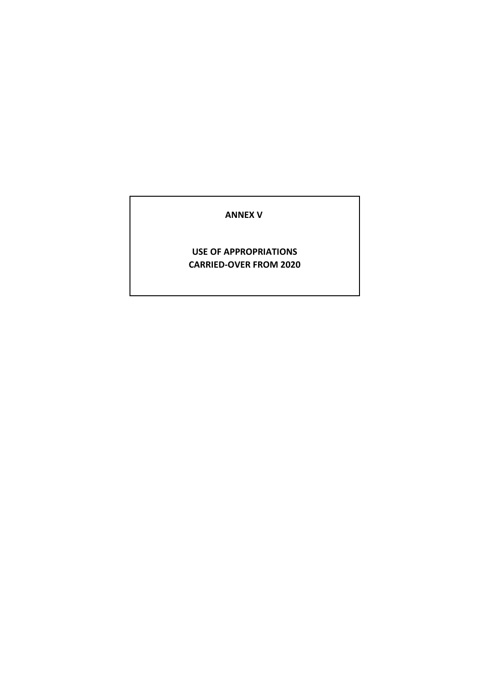#### **ANNEX V**

#### **USE OF APPROPRIATIONS CARRIED-OVER FROM 2020**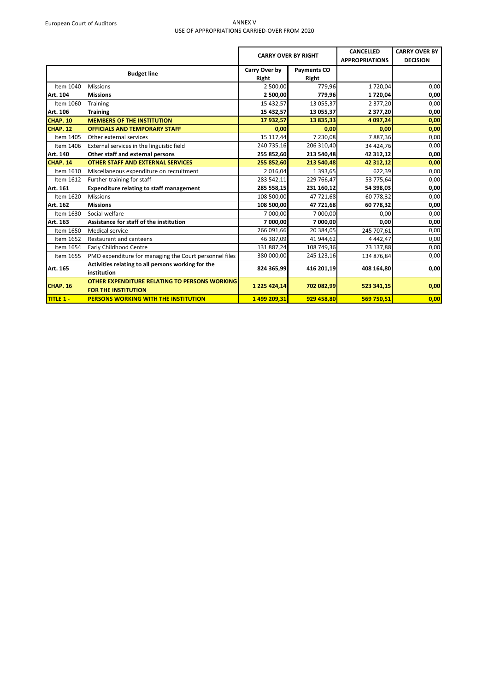#### European Court of Auditors and ANNEX V USE OF APPROPRIATIONS CARRIED-OVER FROM 2020

|                  |                                                        |               | <b>CARRY OVER BY RIGHT</b> | <b>CANCELLED</b><br><b>APPROPRIATIONS</b> | <b>CARRY OVER BY</b><br><b>DECISION</b> |
|------------------|--------------------------------------------------------|---------------|----------------------------|-------------------------------------------|-----------------------------------------|
|                  | <b>Budget line</b>                                     | Carry Over by | <b>Payments CO</b>         |                                           |                                         |
|                  |                                                        | Right         | Right                      |                                           |                                         |
| Item 1040        | <b>Missions</b>                                        | 2 500,00      | 779,96                     | 1720,04                                   | 0,00                                    |
| Art. 104         | <b>Missions</b>                                        | 2 500,00      | 779,96                     | 1720,04                                   | 0,00                                    |
| Item 1060        | Training                                               | 15 432,57     | 13 055,37                  | 2 377,20                                  | 0,00                                    |
| Art. 106         | <b>Training</b>                                        | 15 432,57     | 13 055,37                  | 2 377,20                                  | 0,00                                    |
| <b>CHAP. 10</b>  | <b>MEMBERS OF THE INSTITUTION</b>                      | 17 932,57     | 13 835,33                  | 4 097,24                                  | 0,00                                    |
| <b>CHAP. 12</b>  | <b>OFFICIALS AND TEMPORARY STAFF</b>                   | 0,00          | 0,00                       | 0,00                                      | 0,00                                    |
| Item 1405        | Other external services                                | 15 117,44     | 7 230,08                   | 7887,36                                   | 0,00                                    |
| Item 1406        | External services in the linguistic field              | 240 735,16    | 206 310,40                 | 34 424,76                                 | 0,00                                    |
| Art. 140         | Other staff and external persons                       | 255 852,60    | 213 540,48                 | 42 312,12                                 | 0,00                                    |
| CHAP. 14         | <b>OTHER STAFF AND EXTERNAL SERVICES</b>               | 255 852,60    | 213 540,48                 | 42 312,12                                 | 0,00                                    |
| Item 1610        | Miscellaneous expenditure on recruitment               | 2 016,04      | 1 3 9 3 , 6 5              | 622,39                                    | 0,00                                    |
| Item 1612        | Further training for staff                             | 283 542,11    | 229 766,47                 | 53 775,64                                 | 0,00                                    |
| Art. 161         | <b>Expenditure relating to staff management</b>        | 285 558,15    | 231 160,12                 | 54 398,03                                 | 0,00                                    |
| Item 1620        | <b>Missions</b>                                        | 108 500,00    | 47 721,68                  | 60 778,32                                 | 0,00                                    |
| Art. 162         | <b>Missions</b>                                        | 108 500,00    | 47 721,68                  | 60 778,32                                 | 0,00                                    |
| Item 1630        | Social welfare                                         | 7 000,00      | 7 000,00                   | 0,00                                      | 0,00                                    |
| Art. 163         | Assistance for staff of the institution                | 7 000,00      | 7 000,00                   | 0,00                                      | 0,00                                    |
| Item 1650        | Medical service                                        | 266 091,66    | 20 384,05                  | 245 707,61                                | 0,00                                    |
| Item 1652        | Restaurant and canteens                                | 46 387,09     | 41 944,62                  | 4 4 4 2, 4 7                              | 0,00                                    |
| Item 1654        | <b>Early Childhood Centre</b>                          | 131 887,24    | 108 749,36                 | 23 137,88                                 | 0,00                                    |
| Item 1655        | PMO expenditure for managing the Court personnel files | 380 000,00    | 245 123,16                 | 134 876,84                                | 0,00                                    |
|                  | Activities relating to all persons working for the     |               |                            |                                           |                                         |
| Art. 165         | institution                                            | 824 365,99    | 416 201,19                 | 408 164,80                                | 0,00                                    |
|                  | OTHER EXPENDITURE RELATING TO PERSONS WORKING          |               |                            |                                           |                                         |
| <b>CHAP. 16</b>  | <b>FOR THE INSTITUTION</b>                             | 1 225 424,14  | 702 082,99                 | 523 341,15                                | 0,00                                    |
| <b>TITLE 1 -</b> | <b>PERSONS WORKING WITH THE INSTITUTION</b>            | 1499 209,31   | 929 458,80                 | 569 750,51                                | 0,00                                    |